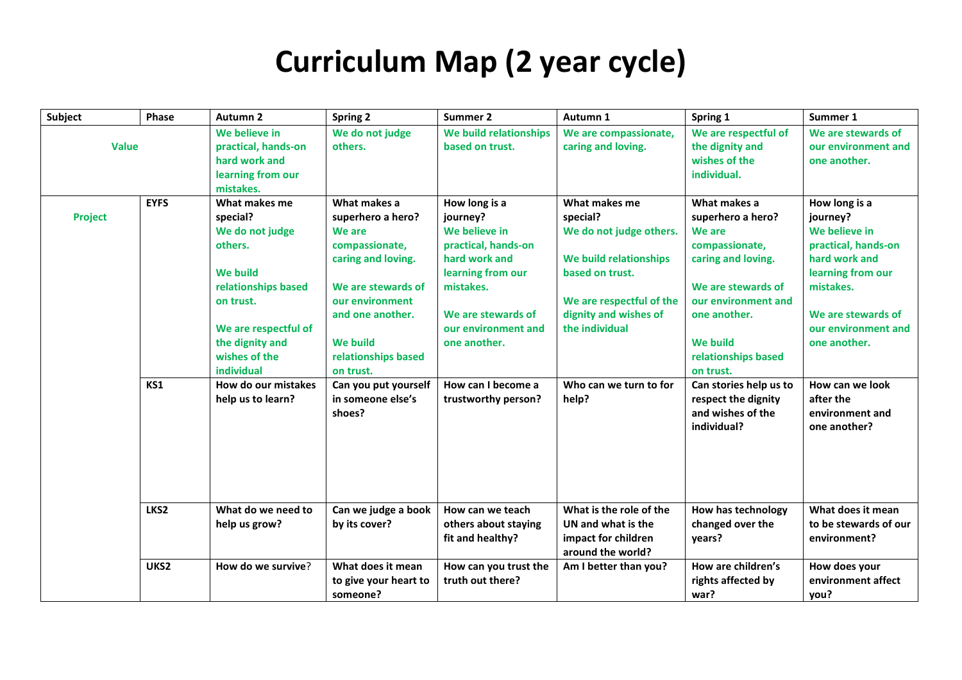## **Curriculum Map (2 year cycle)**

| Subject        | Phase       | Autumn <sub>2</sub>                                                                                                                                       | <b>Spring 2</b>                                                                                                                                                     | Summer 2                                                                                                                                                         | Autumn 1                                                                                                                                                | Spring 1                                                                                                                                                            | Summer 1                                                                                                                                                         |
|----------------|-------------|-----------------------------------------------------------------------------------------------------------------------------------------------------------|---------------------------------------------------------------------------------------------------------------------------------------------------------------------|------------------------------------------------------------------------------------------------------------------------------------------------------------------|---------------------------------------------------------------------------------------------------------------------------------------------------------|---------------------------------------------------------------------------------------------------------------------------------------------------------------------|------------------------------------------------------------------------------------------------------------------------------------------------------------------|
| <b>Value</b>   |             | We believe in<br>practical, hands-on<br>hard work and<br>learning from our<br>mistakes.                                                                   | We do not judge<br>others.                                                                                                                                          | We build relationships<br>based on trust.                                                                                                                        | We are compassionate,<br>caring and loving.                                                                                                             | We are respectful of<br>the dignity and<br>wishes of the<br>individual.                                                                                             | We are stewards of<br>our environment and<br>one another.                                                                                                        |
|                | <b>EYFS</b> | What makes me                                                                                                                                             | What makes a                                                                                                                                                        | How long is a                                                                                                                                                    | What makes me                                                                                                                                           | What makes a                                                                                                                                                        | How long is a                                                                                                                                                    |
| <b>Project</b> |             | special?<br>We do not judge<br>others.<br><b>We build</b><br>relationships based<br>on trust.<br>We are respectful of<br>the dignity and<br>wishes of the | superhero a hero?<br>We are<br>compassionate,<br>caring and loving.<br>We are stewards of<br>our environment<br>and one another.<br>We build<br>relationships based | journey?<br>We believe in<br>practical, hands-on<br>hard work and<br>learning from our<br>mistakes.<br>We are stewards of<br>our environment and<br>one another. | special?<br>We do not judge others.<br>We build relationships<br>based on trust.<br>We are respectful of the<br>dignity and wishes of<br>the individual | superhero a hero?<br>We are<br>compassionate,<br>caring and loving.<br>We are stewards of<br>our environment and<br>one another.<br>We build<br>relationships based | journey?<br>We believe in<br>practical, hands-on<br>hard work and<br>learning from our<br>mistakes.<br>We are stewards of<br>our environment and<br>one another. |
|                |             | individual                                                                                                                                                | on trust.                                                                                                                                                           |                                                                                                                                                                  |                                                                                                                                                         | on trust.                                                                                                                                                           |                                                                                                                                                                  |
|                | KS1         | How do our mistakes<br>help us to learn?                                                                                                                  | Can you put yourself<br>in someone else's<br>shoes?                                                                                                                 | How can I become a<br>trustworthy person?                                                                                                                        | Who can we turn to for<br>help?                                                                                                                         | Can stories help us to<br>respect the dignity<br>and wishes of the<br>individual?                                                                                   | How can we look<br>after the<br>environment and<br>one another?                                                                                                  |
|                | LKS2        | What do we need to<br>help us grow?                                                                                                                       | Can we judge a book<br>by its cover?                                                                                                                                | How can we teach<br>others about staying<br>fit and healthy?                                                                                                     | What is the role of the<br>UN and what is the<br>impact for children<br>around the world?                                                               | How has technology<br>changed over the<br>years?                                                                                                                    | What does it mean<br>to be stewards of our<br>environment?                                                                                                       |
|                | UKS2        | How do we survive?                                                                                                                                        | What does it mean<br>to give your heart to<br>someone?                                                                                                              | How can you trust the<br>truth out there?                                                                                                                        | Am I better than you?                                                                                                                                   | How are children's<br>rights affected by<br>war?                                                                                                                    | How does your<br>environment affect<br>you?                                                                                                                      |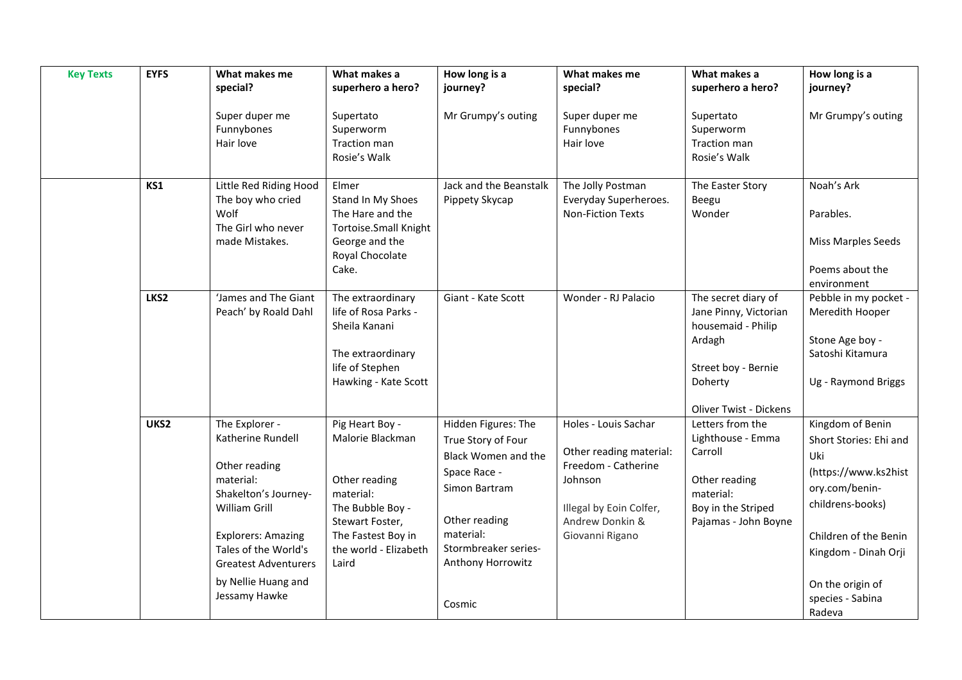| <b>Key Texts</b> | <b>EYFS</b> | What makes me<br>special?                                                                                                                                                                                                              | What makes a<br>superhero a hero?                                                                                                                                | How long is a<br>journey?                                                                                                                                                              | What makes me<br>special?                                                                                                                          | What makes a<br>superhero a hero?                                                                                                        | How long is a<br>journey?                                                                                                                                                                                          |
|------------------|-------------|----------------------------------------------------------------------------------------------------------------------------------------------------------------------------------------------------------------------------------------|------------------------------------------------------------------------------------------------------------------------------------------------------------------|----------------------------------------------------------------------------------------------------------------------------------------------------------------------------------------|----------------------------------------------------------------------------------------------------------------------------------------------------|------------------------------------------------------------------------------------------------------------------------------------------|--------------------------------------------------------------------------------------------------------------------------------------------------------------------------------------------------------------------|
|                  |             | Super duper me<br>Funnybones<br>Hair love                                                                                                                                                                                              | Supertato<br>Superworm<br>Traction man<br>Rosie's Walk                                                                                                           | Mr Grumpy's outing                                                                                                                                                                     | Super duper me<br>Funnybones<br>Hair love                                                                                                          | Supertato<br>Superworm<br><b>Traction man</b><br>Rosie's Walk                                                                            | Mr Grumpy's outing                                                                                                                                                                                                 |
|                  | KS1         | Little Red Riding Hood<br>The boy who cried<br>Wolf<br>The Girl who never<br>made Mistakes.                                                                                                                                            | Elmer<br>Stand In My Shoes<br>The Hare and the<br>Tortoise.Small Knight<br>George and the<br>Royal Chocolate<br>Cake.                                            | Jack and the Beanstalk<br>Pippety Skycap                                                                                                                                               | The Jolly Postman<br>Everyday Superheroes.<br>Non-Fiction Texts                                                                                    | The Easter Story<br>Beegu<br>Wonder                                                                                                      | Noah's Ark<br>Parables.<br>Miss Marples Seeds<br>Poems about the<br>environment                                                                                                                                    |
|                  | LKS2        | 'James and The Giant<br>Peach' by Roald Dahl                                                                                                                                                                                           | The extraordinary<br>life of Rosa Parks -<br>Sheila Kanani<br>The extraordinary<br>life of Stephen<br>Hawking - Kate Scott                                       | Giant - Kate Scott                                                                                                                                                                     | Wonder - RJ Palacio                                                                                                                                | The secret diary of<br>Jane Pinny, Victorian<br>housemaid - Philip<br>Ardagh<br>Street boy - Bernie<br>Doherty<br>Oliver Twist - Dickens | Pebble in my pocket -<br>Meredith Hooper<br>Stone Age boy -<br>Satoshi Kitamura<br>Ug - Raymond Briggs                                                                                                             |
|                  | UKS2        | The Explorer -<br>Katherine Rundell<br>Other reading<br>material:<br>Shakelton's Journey-<br>William Grill<br><b>Explorers: Amazing</b><br>Tales of the World's<br><b>Greatest Adventurers</b><br>by Nellie Huang and<br>Jessamy Hawke | Pig Heart Boy -<br>Malorie Blackman<br>Other reading<br>material:<br>The Bubble Boy -<br>Stewart Foster,<br>The Fastest Boy in<br>the world - Elizabeth<br>Laird | Hidden Figures: The<br>True Story of Four<br>Black Women and the<br>Space Race -<br>Simon Bartram<br>Other reading<br>material:<br>Stormbreaker series-<br>Anthony Horrowitz<br>Cosmic | Holes - Louis Sachar<br>Other reading material:<br>Freedom - Catherine<br>Johnson<br>Illegal by Eoin Colfer,<br>Andrew Donkin &<br>Giovanni Rigano | Letters from the<br>Lighthouse - Emma<br>Carroll<br>Other reading<br>material:<br>Boy in the Striped<br>Pajamas - John Boyne             | Kingdom of Benin<br>Short Stories: Ehi and<br>Uki<br>(https://www.ks2hist<br>ory.com/benin-<br>childrens-books)<br>Children of the Benin<br>Kingdom - Dinah Orji<br>On the origin of<br>species - Sabina<br>Radeva |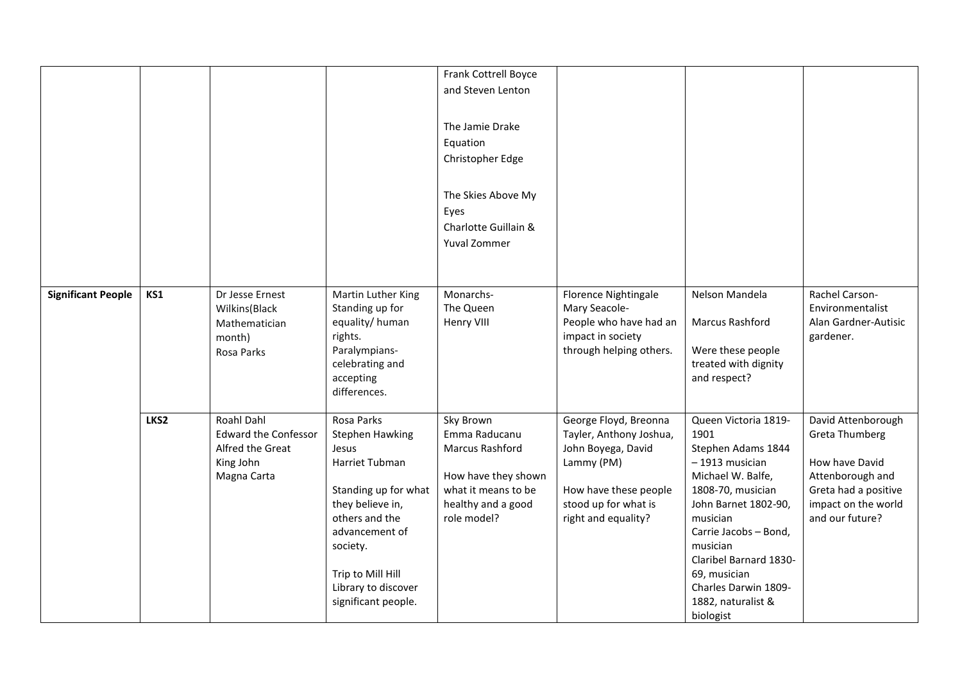|                           |      |                             |                           | Frank Cottrell Boyce |                         |                                      |                                    |
|---------------------------|------|-----------------------------|---------------------------|----------------------|-------------------------|--------------------------------------|------------------------------------|
|                           |      |                             |                           | and Steven Lenton    |                         |                                      |                                    |
|                           |      |                             |                           |                      |                         |                                      |                                    |
|                           |      |                             |                           | The Jamie Drake      |                         |                                      |                                    |
|                           |      |                             |                           | Equation             |                         |                                      |                                    |
|                           |      |                             |                           | Christopher Edge     |                         |                                      |                                    |
|                           |      |                             |                           |                      |                         |                                      |                                    |
|                           |      |                             |                           | The Skies Above My   |                         |                                      |                                    |
|                           |      |                             |                           | Eyes                 |                         |                                      |                                    |
|                           |      |                             |                           | Charlotte Guillain & |                         |                                      |                                    |
|                           |      |                             |                           | Yuval Zommer         |                         |                                      |                                    |
|                           |      |                             |                           |                      |                         |                                      |                                    |
|                           |      |                             |                           |                      |                         |                                      |                                    |
| <b>Significant People</b> | KS1  | Dr Jesse Ernest             | Martin Luther King        | Monarchs-            | Florence Nightingale    | Nelson Mandela                       | Rachel Carson-                     |
|                           |      | Wilkins(Black               | Standing up for           | The Queen            | Mary Seacole-           |                                      | Environmentalist                   |
|                           |      | Mathematician               | equality/human            | Henry VIII           | People who have had an  | Marcus Rashford                      | Alan Gardner-Autisic               |
|                           |      | month)                      | rights.                   |                      | impact in society       |                                      | gardener.                          |
|                           |      | Rosa Parks                  | Paralympians-             |                      | through helping others. | Were these people                    |                                    |
|                           |      |                             | celebrating and           |                      |                         | treated with dignity                 |                                    |
|                           |      |                             | accepting<br>differences. |                      |                         | and respect?                         |                                    |
|                           |      |                             |                           |                      |                         |                                      |                                    |
|                           | LKS2 | Roahl Dahl                  | Rosa Parks                | Sky Brown            | George Floyd, Breonna   | Queen Victoria 1819-                 | David Attenborough                 |
|                           |      | <b>Edward the Confessor</b> | Stephen Hawking           | Emma Raducanu        | Tayler, Anthony Joshua, | 1901                                 | Greta Thumberg                     |
|                           |      | Alfred the Great            | Jesus                     | Marcus Rashford      | John Boyega, David      | Stephen Adams 1844                   |                                    |
|                           |      | King John<br>Magna Carta    | Harriet Tubman            | How have they shown  | Lammy (PM)              | - 1913 musician<br>Michael W. Balfe, | How have David<br>Attenborough and |
|                           |      |                             | Standing up for what      | what it means to be  | How have these people   | 1808-70, musician                    | Greta had a positive               |
|                           |      |                             | they believe in,          | healthy and a good   | stood up for what is    | John Barnet 1802-90,                 | impact on the world                |
|                           |      |                             | others and the            | role model?          | right and equality?     | musician                             | and our future?                    |
|                           |      |                             | advancement of            |                      |                         | Carrie Jacobs - Bond,                |                                    |
|                           |      |                             | society.                  |                      |                         | musician                             |                                    |
|                           |      |                             |                           |                      |                         | Claribel Barnard 1830-               |                                    |
|                           |      |                             | Trip to Mill Hill         |                      |                         | 69, musician                         |                                    |
|                           |      |                             | Library to discover       |                      |                         | Charles Darwin 1809-                 |                                    |
|                           |      |                             | significant people.       |                      |                         | 1882, naturalist &<br>biologist      |                                    |
|                           |      |                             |                           |                      |                         |                                      |                                    |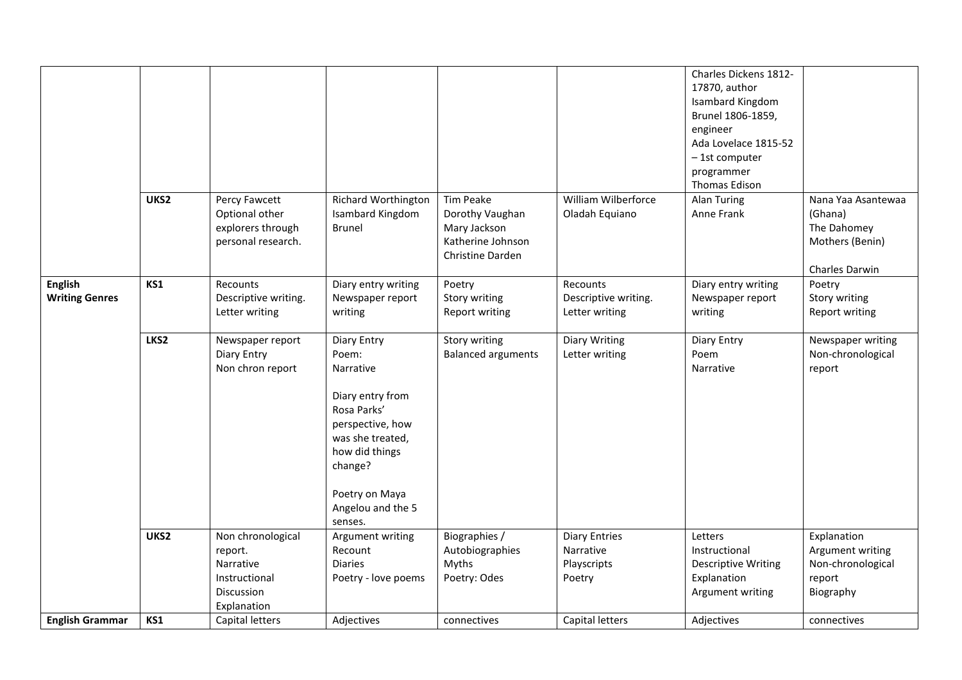|                                         | UKS2 | Percy Fawcett                                                                           | Richard Worthington                                                                                                                                                                         | Tim Peake                                                                | William Wilberforce                                        | Charles Dickens 1812-<br>17870, author<br>Isambard Kingdom<br>Brunel 1806-1859,<br>engineer<br>Ada Lovelace 1815-52<br>- 1st computer<br>programmer<br>Thomas Edison<br><b>Alan Turing</b> | Nana Yaa Asantewaa                                                          |
|-----------------------------------------|------|-----------------------------------------------------------------------------------------|---------------------------------------------------------------------------------------------------------------------------------------------------------------------------------------------|--------------------------------------------------------------------------|------------------------------------------------------------|--------------------------------------------------------------------------------------------------------------------------------------------------------------------------------------------|-----------------------------------------------------------------------------|
|                                         |      | Optional other<br>explorers through<br>personal research.                               | Isambard Kingdom<br><b>Brunel</b>                                                                                                                                                           | Dorothy Vaughan<br>Mary Jackson<br>Katherine Johnson<br>Christine Darden | Oladah Equiano                                             | Anne Frank                                                                                                                                                                                 | (Ghana)<br>The Dahomey<br>Mothers (Benin)<br>Charles Darwin                 |
| <b>English</b><br><b>Writing Genres</b> | KS1  | Recounts<br>Descriptive writing.<br>Letter writing                                      | Diary entry writing<br>Newspaper report<br>writing                                                                                                                                          | Poetry<br>Story writing<br>Report writing                                | Recounts<br>Descriptive writing.<br>Letter writing         | Diary entry writing<br>Newspaper report<br>writing                                                                                                                                         | Poetry<br>Story writing<br>Report writing                                   |
|                                         | LKS2 | Newspaper report<br>Diary Entry<br>Non chron report                                     | Diary Entry<br>Poem:<br>Narrative<br>Diary entry from<br>Rosa Parks'<br>perspective, how<br>was she treated,<br>how did things<br>change?<br>Poetry on Maya<br>Angelou and the 5<br>senses. | Story writing<br><b>Balanced arguments</b>                               | Diary Writing<br>Letter writing                            | Diary Entry<br>Poem<br>Narrative                                                                                                                                                           | Newspaper writing<br>Non-chronological<br>report                            |
|                                         | UKS2 | Non chronological<br>report.<br>Narrative<br>Instructional<br>Discussion<br>Explanation | Argument writing<br>Recount<br><b>Diaries</b><br>Poetry - love poems                                                                                                                        | Biographies /<br>Autobiographies<br>Myths<br>Poetry: Odes                | <b>Diary Entries</b><br>Narrative<br>Playscripts<br>Poetry | Letters<br>Instructional<br><b>Descriptive Writing</b><br>Explanation<br>Argument writing                                                                                                  | Explanation<br>Argument writing<br>Non-chronological<br>report<br>Biography |
| <b>English Grammar</b>                  | KS1  | Capital letters                                                                         | Adjectives                                                                                                                                                                                  | connectives                                                              | Capital letters                                            | Adjectives                                                                                                                                                                                 | connectives                                                                 |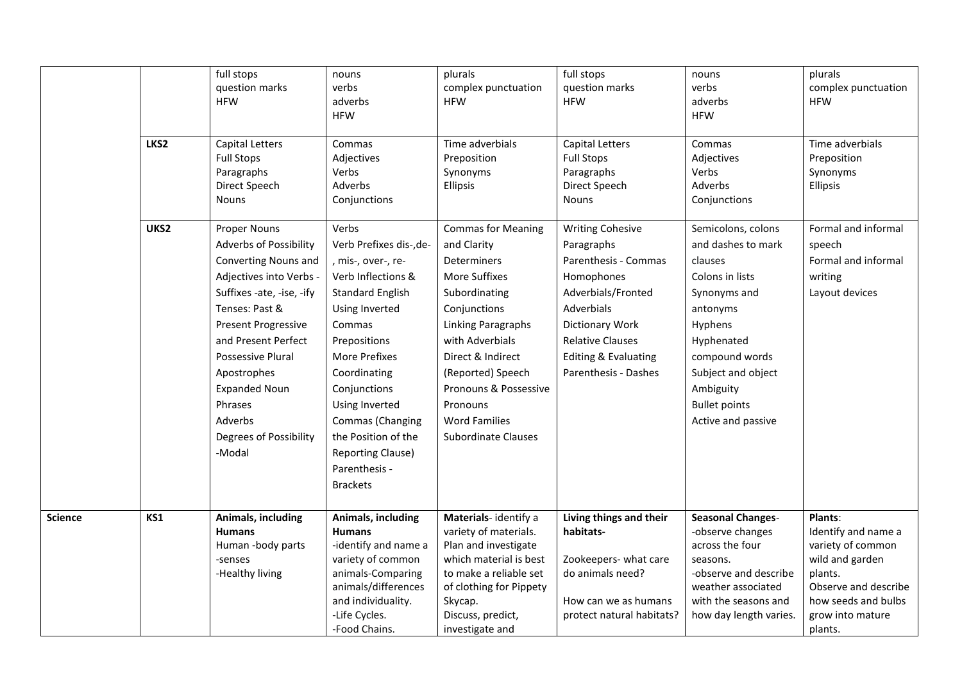|                | LKS2 | full stops<br>question marks<br><b>HFW</b><br><b>Capital Letters</b>                                                                                                                                                                                                                                                                                   | nouns<br>verbs<br>adverbs<br><b>HFW</b><br>Commas                                                                                                                                                                                                                                                                                        | plurals<br>complex punctuation<br><b>HFW</b><br>Time adverbials                                                                                                                                                                                                                                | full stops<br>question marks<br><b>HFW</b><br><b>Capital Letters</b>                                                                                                                                                     | nouns<br>verbs<br>adverbs<br><b>HFW</b><br>Commas                                                                                                                                                                              | plurals<br>complex punctuation<br><b>HFW</b><br>Time adverbials                                                                                                 |
|----------------|------|--------------------------------------------------------------------------------------------------------------------------------------------------------------------------------------------------------------------------------------------------------------------------------------------------------------------------------------------------------|------------------------------------------------------------------------------------------------------------------------------------------------------------------------------------------------------------------------------------------------------------------------------------------------------------------------------------------|------------------------------------------------------------------------------------------------------------------------------------------------------------------------------------------------------------------------------------------------------------------------------------------------|--------------------------------------------------------------------------------------------------------------------------------------------------------------------------------------------------------------------------|--------------------------------------------------------------------------------------------------------------------------------------------------------------------------------------------------------------------------------|-----------------------------------------------------------------------------------------------------------------------------------------------------------------|
|                |      | <b>Full Stops</b><br>Paragraphs<br>Direct Speech<br><b>Nouns</b>                                                                                                                                                                                                                                                                                       | Adjectives<br>Verbs<br>Adverbs<br>Conjunctions                                                                                                                                                                                                                                                                                           | Preposition<br>Synonyms<br>Ellipsis                                                                                                                                                                                                                                                            | <b>Full Stops</b><br>Paragraphs<br>Direct Speech<br>Nouns                                                                                                                                                                | Adjectives<br>Verbs<br>Adverbs<br>Conjunctions                                                                                                                                                                                 | Preposition<br>Synonyms<br>Ellipsis                                                                                                                             |
|                | UKS2 | <b>Proper Nouns</b><br><b>Adverbs of Possibility</b><br><b>Converting Nouns and</b><br>Adjectives into Verbs -<br>Suffixes -ate, -ise, -ify<br>Tenses: Past &<br><b>Present Progressive</b><br>and Present Perfect<br><b>Possessive Plural</b><br>Apostrophes<br><b>Expanded Noun</b><br>Phrases<br>Adverbs<br><b>Degrees of Possibility</b><br>-Modal | Verbs<br>Verb Prefixes dis-, de-<br>, mis-, over-, re-<br>Verb Inflections &<br><b>Standard English</b><br>Using Inverted<br>Commas<br>Prepositions<br><b>More Prefixes</b><br>Coordinating<br>Conjunctions<br>Using Inverted<br>Commas (Changing<br>the Position of the<br><b>Reporting Clause)</b><br>Parenthesis -<br><b>Brackets</b> | <b>Commas for Meaning</b><br>and Clarity<br><b>Determiners</b><br>More Suffixes<br>Subordinating<br>Conjunctions<br><b>Linking Paragraphs</b><br>with Adverbials<br>Direct & Indirect<br>(Reported) Speech<br>Pronouns & Possessive<br>Pronouns<br><b>Word Families</b><br>Subordinate Clauses | <b>Writing Cohesive</b><br>Paragraphs<br>Parenthesis - Commas<br>Homophones<br>Adverbials/Fronted<br>Adverbials<br>Dictionary Work<br><b>Relative Clauses</b><br><b>Editing &amp; Evaluating</b><br>Parenthesis - Dashes | Semicolons, colons<br>and dashes to mark<br>clauses<br>Colons in lists<br>Synonyms and<br>antonyms<br>Hyphens<br>Hyphenated<br>compound words<br>Subject and object<br>Ambiguity<br><b>Bullet points</b><br>Active and passive | Formal and informal<br>speech<br>Formal and informal<br>writing<br>Layout devices                                                                               |
| <b>Science</b> | KS1  | Animals, including<br><b>Humans</b><br>Human -body parts<br>-senses<br>-Healthy living                                                                                                                                                                                                                                                                 | Animals, including<br><b>Humans</b><br>-identify and name a<br>variety of common<br>animals-Comparing<br>animals/differences<br>and individuality.<br>-Life Cycles.<br>-Food Chains.                                                                                                                                                     | Materials-identify a<br>variety of materials.<br>Plan and investigate<br>which material is best<br>to make a reliable set<br>of clothing for Pippety<br>Skycap.<br>Discuss, predict,<br>investigate and                                                                                        | Living things and their<br>habitats-<br>Zookeepers- what care<br>do animals need?<br>How can we as humans<br>protect natural habitats?                                                                                   | <b>Seasonal Changes-</b><br>-observe changes<br>across the four<br>seasons.<br>-observe and describe<br>weather associated<br>with the seasons and<br>how day length varies.                                                   | Plants:<br>Identify and name a<br>variety of common<br>wild and garden<br>plants.<br>Observe and describe<br>how seeds and bulbs<br>grow into mature<br>plants. |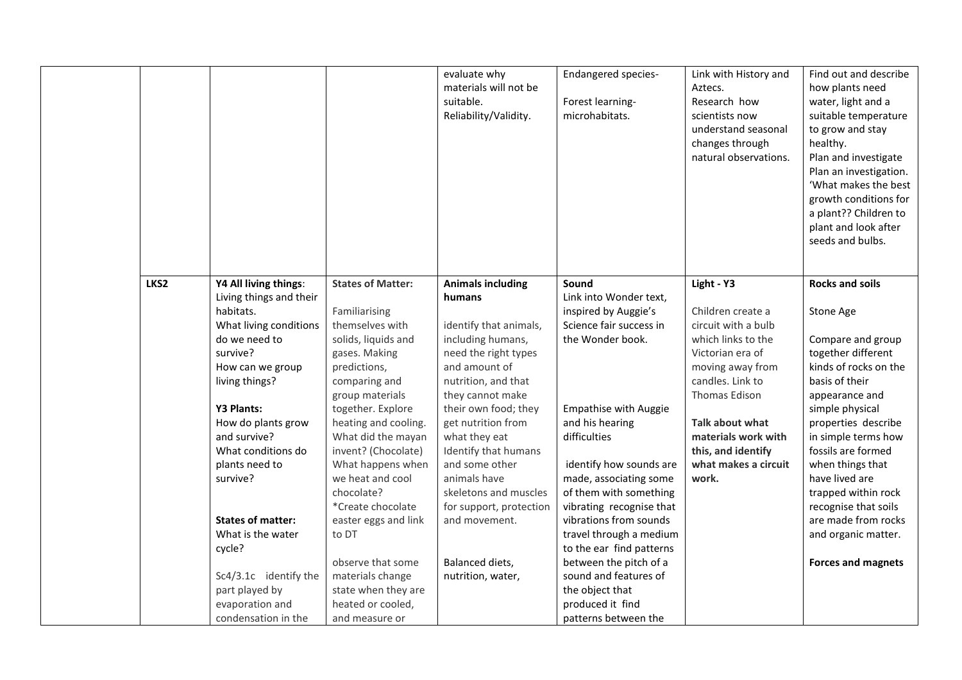|      |                                                                                                                                                                                                                                                                                                                                                                                                                           |                                                                                                                                                                                                                                                                                                                                                                                                                                                                        | evaluate why<br>materials will not be<br>suitable.<br>Reliability/Validity.                                                                                                                                                                                                                                                                                                                                 | <b>Endangered species-</b><br>Forest learning-<br>microhabitats.                                                                                                                                                                                                                                                                                                                                                                                                                        | Link with History and<br>Aztecs.<br>Research how<br>scientists now<br>understand seasonal<br>changes through<br>natural observations.                                                                                                                             | Find out and describe<br>how plants need<br>water, light and a<br>suitable temperature<br>to grow and stay<br>healthy.<br>Plan and investigate<br>Plan an investigation.<br>'What makes the best<br>growth conditions for<br>a plant?? Children to<br>plant and look after<br>seeds and bulbs.                                                                                                     |
|------|---------------------------------------------------------------------------------------------------------------------------------------------------------------------------------------------------------------------------------------------------------------------------------------------------------------------------------------------------------------------------------------------------------------------------|------------------------------------------------------------------------------------------------------------------------------------------------------------------------------------------------------------------------------------------------------------------------------------------------------------------------------------------------------------------------------------------------------------------------------------------------------------------------|-------------------------------------------------------------------------------------------------------------------------------------------------------------------------------------------------------------------------------------------------------------------------------------------------------------------------------------------------------------------------------------------------------------|-----------------------------------------------------------------------------------------------------------------------------------------------------------------------------------------------------------------------------------------------------------------------------------------------------------------------------------------------------------------------------------------------------------------------------------------------------------------------------------------|-------------------------------------------------------------------------------------------------------------------------------------------------------------------------------------------------------------------------------------------------------------------|----------------------------------------------------------------------------------------------------------------------------------------------------------------------------------------------------------------------------------------------------------------------------------------------------------------------------------------------------------------------------------------------------|
| LKS2 | Y4 All living things:<br>Living things and their<br>habitats.<br>What living conditions<br>do we need to<br>survive?<br>How can we group<br>living things?<br><b>Y3 Plants:</b><br>How do plants grow<br>and survive?<br>What conditions do<br>plants need to<br>survive?<br><b>States of matter:</b><br>What is the water<br>cycle?<br>Sc4/3.1c identify the<br>part played by<br>evaporation and<br>condensation in the | <b>States of Matter:</b><br>Familiarising<br>themselves with<br>solids, liquids and<br>gases. Making<br>predictions,<br>comparing and<br>group materials<br>together. Explore<br>heating and cooling.<br>What did the mayan<br>invent? (Chocolate)<br>What happens when<br>we heat and cool<br>chocolate?<br>*Create chocolate<br>easter eggs and link<br>to DT<br>observe that some<br>materials change<br>state when they are<br>heated or cooled,<br>and measure or | <b>Animals including</b><br>humans<br>identify that animals,<br>including humans,<br>need the right types<br>and amount of<br>nutrition, and that<br>they cannot make<br>their own food; they<br>get nutrition from<br>what they eat<br>Identify that humans<br>and some other<br>animals have<br>skeletons and muscles<br>for support, protection<br>and movement.<br>Balanced diets,<br>nutrition, water, | Sound<br>Link into Wonder text,<br>inspired by Auggie's<br>Science fair success in<br>the Wonder book.<br><b>Empathise with Auggie</b><br>and his hearing<br>difficulties<br>identify how sounds are<br>made, associating some<br>of them with something<br>vibrating recognise that<br>vibrations from sounds<br>travel through a medium<br>to the ear find patterns<br>between the pitch of a<br>sound and features of<br>the object that<br>produced it find<br>patterns between the | Light - Y3<br>Children create a<br>circuit with a bulb<br>which links to the<br>Victorian era of<br>moving away from<br>candles. Link to<br>Thomas Edison<br><b>Talk about what</b><br>materials work with<br>this, and identify<br>what makes a circuit<br>work. | <b>Rocks and soils</b><br>Stone Age<br>Compare and group<br>together different<br>kinds of rocks on the<br>basis of their<br>appearance and<br>simple physical<br>properties describe<br>in simple terms how<br>fossils are formed<br>when things that<br>have lived are<br>trapped within rock<br>recognise that soils<br>are made from rocks<br>and organic matter.<br><b>Forces and magnets</b> |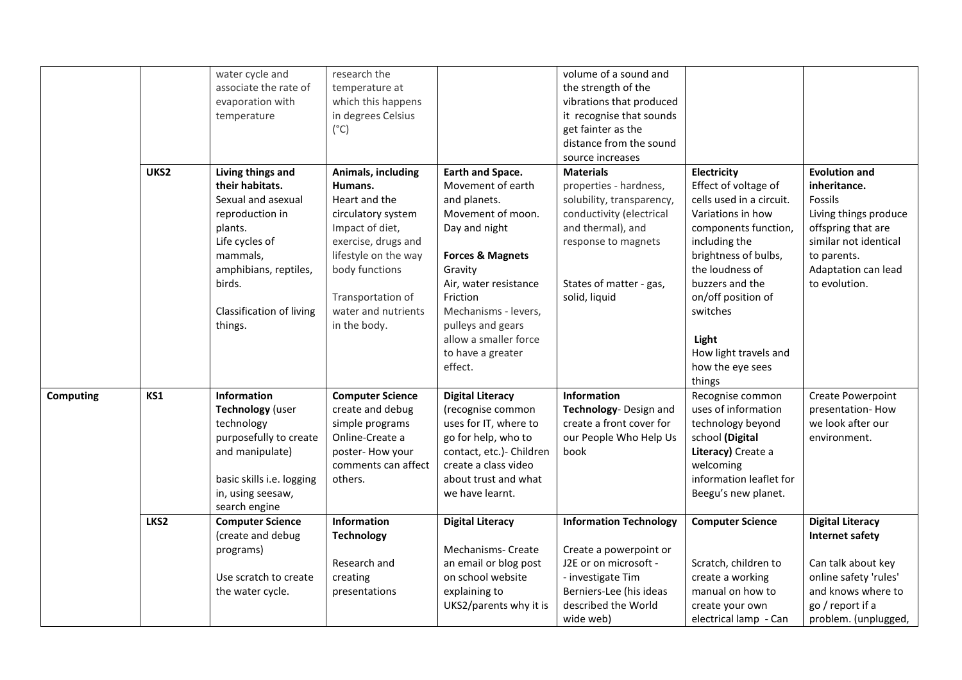|           |      | water cycle and           | research the            |                             | volume of a sound and         |                          |                         |
|-----------|------|---------------------------|-------------------------|-----------------------------|-------------------------------|--------------------------|-------------------------|
|           |      | associate the rate of     | temperature at          |                             | the strength of the           |                          |                         |
|           |      | evaporation with          | which this happens      |                             | vibrations that produced      |                          |                         |
|           |      | temperature               | in degrees Celsius      |                             | it recognise that sounds      |                          |                         |
|           |      |                           | $(^{\circ}C)$           |                             | get fainter as the            |                          |                         |
|           |      |                           |                         |                             | distance from the sound       |                          |                         |
|           |      |                           |                         |                             | source increases              |                          |                         |
|           | UKS2 | Living things and         | Animals, including      | Earth and Space.            | <b>Materials</b>              | Electricity              | <b>Evolution and</b>    |
|           |      | their habitats.           | Humans.                 | Movement of earth           | properties - hardness,        | Effect of voltage of     | inheritance.            |
|           |      | Sexual and asexual        | Heart and the           | and planets.                | solubility, transparency,     | cells used in a circuit. | <b>Fossils</b>          |
|           |      | reproduction in           | circulatory system      | Movement of moon.           | conductivity (electrical      | Variations in how        | Living things produce   |
|           |      | plants.                   | Impact of diet,         | Day and night               | and thermal), and             | components function,     | offspring that are      |
|           |      | Life cycles of            | exercise, drugs and     |                             | response to magnets           | including the            | similar not identical   |
|           |      | mammals,                  | lifestyle on the way    | <b>Forces &amp; Magnets</b> |                               | brightness of bulbs,     | to parents.             |
|           |      | amphibians, reptiles,     | body functions          | Gravity                     |                               | the loudness of          | Adaptation can lead     |
|           |      | birds.                    |                         | Air, water resistance       | States of matter - gas,       | buzzers and the          | to evolution.           |
|           |      |                           | Transportation of       | Friction                    | solid, liquid                 | on/off position of       |                         |
|           |      | Classification of living  | water and nutrients     | Mechanisms - levers,        |                               | switches                 |                         |
|           |      | things.                   | in the body.            | pulleys and gears           |                               |                          |                         |
|           |      |                           |                         | allow a smaller force       |                               | Light                    |                         |
|           |      |                           |                         | to have a greater           |                               | How light travels and    |                         |
|           |      |                           |                         | effect.                     |                               | how the eye sees         |                         |
|           |      |                           |                         |                             |                               | things                   |                         |
| Computing | KS1  | Information               | <b>Computer Science</b> | <b>Digital Literacy</b>     | Information                   | Recognise common         | Create Powerpoint       |
|           |      | Technology (user          | create and debug        | (recognise common           | Technology- Design and        | uses of information      | presentation-How        |
|           |      | technology                | simple programs         | uses for IT, where to       | create a front cover for      | technology beyond        | we look after our       |
|           |      | purposefully to create    | Online-Create a         | go for help, who to         | our People Who Help Us        | school (Digital          | environment.            |
|           |      | and manipulate)           | poster-How your         | contact, etc.)- Children    | book                          | Literacy) Create a       |                         |
|           |      |                           | comments can affect     | create a class video        |                               | welcoming                |                         |
|           |      | basic skills i.e. logging | others.                 | about trust and what        |                               | information leaflet for  |                         |
|           |      | in, using seesaw,         |                         | we have learnt.             |                               | Beegu's new planet.      |                         |
|           |      | search engine             |                         |                             |                               |                          |                         |
|           | LKS2 | <b>Computer Science</b>   | Information             | <b>Digital Literacy</b>     | <b>Information Technology</b> | <b>Computer Science</b>  | <b>Digital Literacy</b> |
|           |      | (create and debug         | <b>Technology</b>       |                             |                               |                          | <b>Internet safety</b>  |
|           |      | programs)                 |                         | Mechanisms- Create          | Create a powerpoint or        |                          |                         |
|           |      |                           | Research and            | an email or blog post       | J2E or on microsoft -         | Scratch, children to     | Can talk about key      |
|           |      | Use scratch to create     | creating                | on school website           | - investigate Tim             | create a working         | online safety 'rules'   |
|           |      | the water cycle.          | presentations           | explaining to               | Berniers-Lee (his ideas       | manual on how to         | and knows where to      |
|           |      |                           |                         | UKS2/parents why it is      | described the World           | create your own          | go / report if a        |
|           |      |                           |                         |                             | wide web)                     | electrical lamp - Can    | problem. (unplugged,    |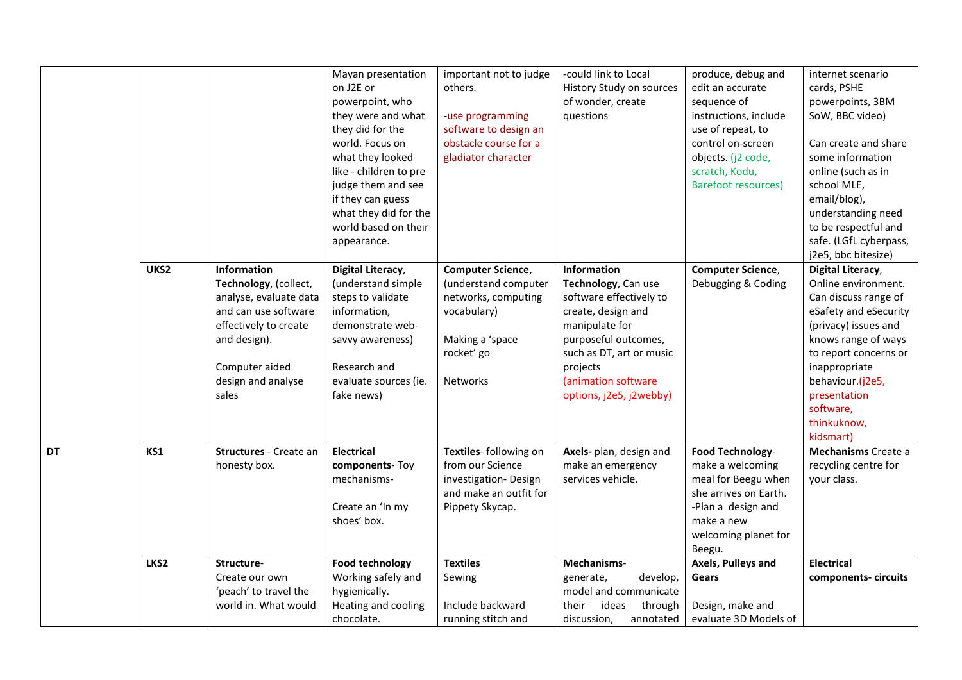|           | UKS2 | Information                                                                                                                                                       | Mayan presentation<br>on J2E or<br>powerpoint, who<br>they were and what<br>they did for the<br>world. Focus on<br>what they looked<br>like - children to pre<br>judge them and see<br>if they can guess<br>what they did for the<br>world based on their<br>appearance.<br>Digital Literacy, | important not to judge<br>others.<br>-use programming<br>software to design an<br>obstacle course for a<br>gladiator character<br><b>Computer Science,</b> | -could link to Local<br>History Study on sources<br>of wonder, create<br>questions<br>Information                                                                                                        | produce, debug and<br>edit an accurate<br>sequence of<br>instructions, include<br>use of repeat, to<br>control on-screen<br>objects. (j2 code,<br>scratch, Kodu,<br><b>Barefoot resources)</b><br><b>Computer Science,</b> | internet scenario<br>cards, PSHE<br>powerpoints, 3BM<br>SoW, BBC video)<br>Can create and share<br>some information<br>online (such as in<br>school MLE,<br>email/blog),<br>understanding need<br>to be respectful and<br>safe. (LGfL cyberpass,<br>j2e5, bbc bitesize)<br>Digital Literacy, |
|-----------|------|-------------------------------------------------------------------------------------------------------------------------------------------------------------------|-----------------------------------------------------------------------------------------------------------------------------------------------------------------------------------------------------------------------------------------------------------------------------------------------|------------------------------------------------------------------------------------------------------------------------------------------------------------|----------------------------------------------------------------------------------------------------------------------------------------------------------------------------------------------------------|----------------------------------------------------------------------------------------------------------------------------------------------------------------------------------------------------------------------------|----------------------------------------------------------------------------------------------------------------------------------------------------------------------------------------------------------------------------------------------------------------------------------------------|
|           |      | Technology, (collect,<br>analyse, evaluate data<br>and can use software<br>effectively to create<br>and design).<br>Computer aided<br>design and analyse<br>sales | (understand simple<br>steps to validate<br>information,<br>demonstrate web-<br>savvy awareness)<br>Research and<br>evaluate sources (ie.<br>fake news)                                                                                                                                        | (understand computer<br>networks, computing<br>vocabulary)<br>Making a 'space<br>rocket' go<br><b>Networks</b>                                             | Technology, Can use<br>software effectively to<br>create, design and<br>manipulate for<br>purposeful outcomes,<br>such as DT, art or music<br>projects<br>(animation software<br>options, j2e5, j2webby) | Debugging & Coding                                                                                                                                                                                                         | Online environment.<br>Can discuss range of<br>eSafety and eSecurity<br>(privacy) issues and<br>knows range of ways<br>to report concerns or<br>inappropriate<br>behaviour.(j2e5,<br>presentation<br>software,<br>thinkuknow,<br>kidsmart)                                                   |
| <b>DT</b> | KS1  | Structures - Create an<br>honesty box.                                                                                                                            | <b>Electrical</b><br>components-Toy<br>mechanisms-<br>Create an 'In my<br>shoes' box.                                                                                                                                                                                                         | Textiles- following on<br>from our Science<br>investigation-Design<br>and make an outfit for<br>Pippety Skycap.                                            | Axels- plan, design and<br>make an emergency<br>services vehicle.                                                                                                                                        | <b>Food Technology-</b><br>make a welcoming<br>meal for Beegu when<br>she arrives on Earth.<br>-Plan a design and<br>make a new<br>welcoming planet for<br>Beegu.                                                          | Mechanisms Create a<br>recycling centre for<br>your class.                                                                                                                                                                                                                                   |
|           | LKS2 | Structure-<br>Create our own<br>'peach' to travel the<br>world in. What would                                                                                     | <b>Food technology</b><br>Working safely and<br>hygienically.<br>Heating and cooling<br>chocolate.                                                                                                                                                                                            | <b>Textiles</b><br>Sewing<br>Include backward<br>running stitch and                                                                                        | Mechanisms-<br>generate,<br>develop,<br>model and communicate<br>their<br>ideas<br>through<br>discussion,<br>annotated                                                                                   | Axels, Pulleys and<br>Gears<br>Design, make and<br>evaluate 3D Models of                                                                                                                                                   | <b>Electrical</b><br>components-circuits                                                                                                                                                                                                                                                     |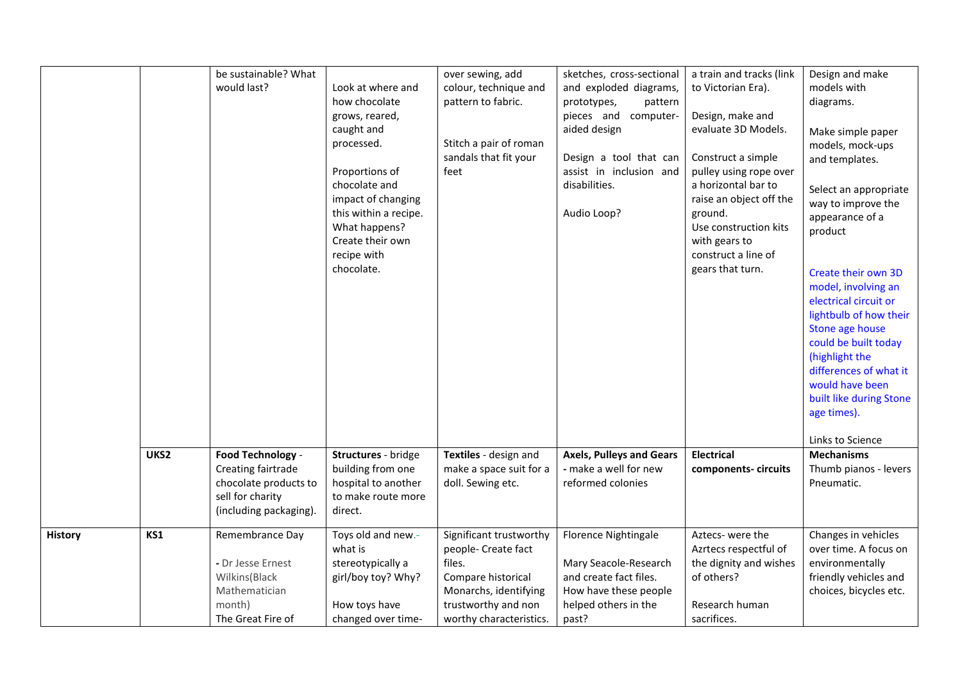|                |      | be sustainable? What<br>would last?                                                                            | Look at where and<br>how chocolate<br>grows, reared,<br>caught and<br>processed.<br>Proportions of<br>chocolate and<br>impact of changing<br>this within a recipe.<br>What happens?<br>Create their own<br>recipe with<br>chocolate. | over sewing, add<br>colour, technique and<br>pattern to fabric.<br>Stitch a pair of roman<br>sandals that fit your<br>feet                                | sketches, cross-sectional<br>and exploded diagrams,<br>prototypes,<br>pattern<br>pieces and computer-<br>aided design<br>Design a tool that can<br>assist in inclusion and<br>disabilities.<br>Audio Loop? | a train and tracks (link<br>to Victorian Era).<br>Design, make and<br>evaluate 3D Models.<br>Construct a simple<br>pulley using rope over<br>a horizontal bar to<br>raise an object off the<br>ground.<br>Use construction kits<br>with gears to<br>construct a line of<br>gears that turn. | Design and make<br>models with<br>diagrams.<br>Make simple paper<br>models, mock-ups<br>and templates.<br>Select an appropriate<br>way to improve the<br>appearance of a<br>product<br>Create their own 3D<br>model, involving an<br>electrical circuit or<br>lightbulb of how their<br>Stone age house<br>could be built today<br>(highlight the<br>differences of what it<br>would have been<br>built like during Stone<br>age times).<br>Links to Science |
|----------------|------|----------------------------------------------------------------------------------------------------------------|--------------------------------------------------------------------------------------------------------------------------------------------------------------------------------------------------------------------------------------|-----------------------------------------------------------------------------------------------------------------------------------------------------------|------------------------------------------------------------------------------------------------------------------------------------------------------------------------------------------------------------|---------------------------------------------------------------------------------------------------------------------------------------------------------------------------------------------------------------------------------------------------------------------------------------------|--------------------------------------------------------------------------------------------------------------------------------------------------------------------------------------------------------------------------------------------------------------------------------------------------------------------------------------------------------------------------------------------------------------------------------------------------------------|
|                | UKS2 | Food Technology -<br>Creating fairtrade<br>chocolate products to<br>sell for charity<br>(including packaging). | Structures - bridge<br>building from one<br>hospital to another<br>to make route more<br>direct.                                                                                                                                     | Textiles - design and<br>make a space suit for a<br>doll. Sewing etc.                                                                                     | <b>Axels, Pulleys and Gears</b><br>- make a well for new<br>reformed colonies                                                                                                                              | <b>Electrical</b><br>components-circuits                                                                                                                                                                                                                                                    | <b>Mechanisms</b><br>Thumb pianos - levers<br>Pneumatic.                                                                                                                                                                                                                                                                                                                                                                                                     |
| <b>History</b> | KS1  | Remembrance Day<br>- Dr Jesse Ernest<br>Wilkins(Black<br>Mathematician<br>month)<br>The Great Fire of          | Toys old and new.-<br>what is<br>stereotypically a<br>girl/boy toy? Why?<br>How toys have<br>changed over time-                                                                                                                      | Significant trustworthy<br>people- Create fact<br>files.<br>Compare historical<br>Monarchs, identifying<br>trustworthy and non<br>worthy characteristics. | Florence Nightingale<br>Mary Seacole-Research<br>and create fact files.<br>How have these people<br>helped others in the<br>past?                                                                          | Aztecs-were the<br>Azrtecs respectful of<br>the dignity and wishes<br>of others?<br>Research human<br>sacrifices.                                                                                                                                                                           | Changes in vehicles<br>over time. A focus on<br>environmentally<br>friendly vehicles and<br>choices, bicycles etc.                                                                                                                                                                                                                                                                                                                                           |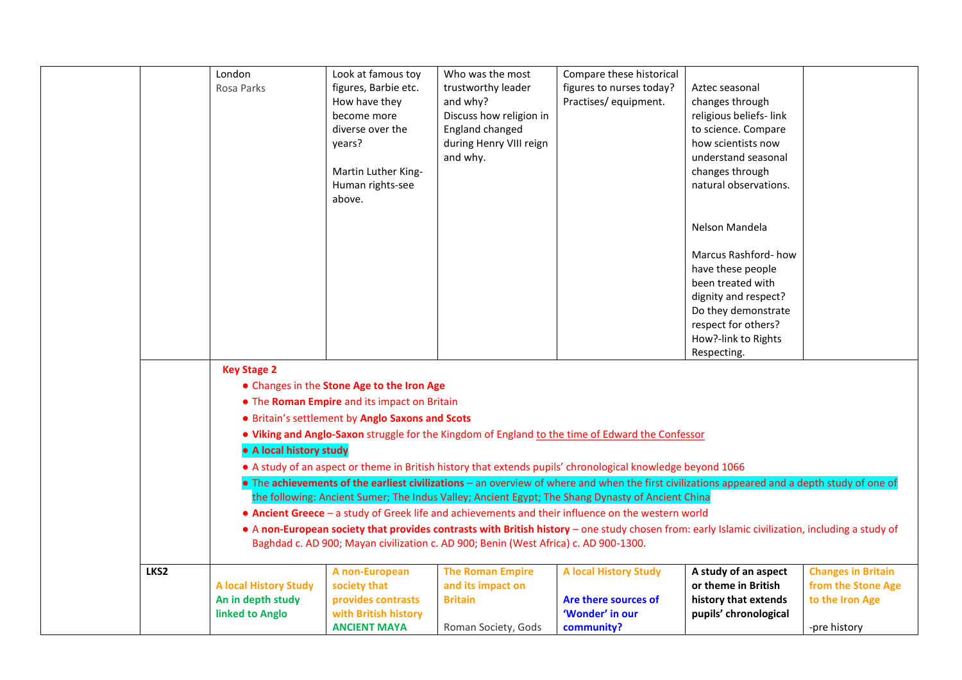|      | London                       | Look at famous toy                               | Who was the most                                                                     | Compare these historical                                                                                                                        |                        |                           |
|------|------------------------------|--------------------------------------------------|--------------------------------------------------------------------------------------|-------------------------------------------------------------------------------------------------------------------------------------------------|------------------------|---------------------------|
|      | Rosa Parks                   | figures, Barbie etc.                             | trustworthy leader                                                                   | figures to nurses today?                                                                                                                        | Aztec seasonal         |                           |
|      |                              | How have they                                    | and why?                                                                             | Practises/equipment.                                                                                                                            | changes through        |                           |
|      |                              | become more                                      | Discuss how religion in                                                              |                                                                                                                                                 | religious beliefs-link |                           |
|      |                              | diverse over the                                 | England changed                                                                      |                                                                                                                                                 | to science. Compare    |                           |
|      |                              | years?                                           | during Henry VIII reign                                                              |                                                                                                                                                 | how scientists now     |                           |
|      |                              |                                                  | and why.                                                                             |                                                                                                                                                 | understand seasonal    |                           |
|      |                              | Martin Luther King-                              |                                                                                      |                                                                                                                                                 | changes through        |                           |
|      |                              | Human rights-see                                 |                                                                                      |                                                                                                                                                 | natural observations.  |                           |
|      |                              | above.                                           |                                                                                      |                                                                                                                                                 |                        |                           |
|      |                              |                                                  |                                                                                      |                                                                                                                                                 |                        |                           |
|      |                              |                                                  |                                                                                      |                                                                                                                                                 | Nelson Mandela         |                           |
|      |                              |                                                  |                                                                                      |                                                                                                                                                 |                        |                           |
|      |                              |                                                  |                                                                                      |                                                                                                                                                 | Marcus Rashford-how    |                           |
|      |                              |                                                  |                                                                                      |                                                                                                                                                 | have these people      |                           |
|      |                              |                                                  |                                                                                      |                                                                                                                                                 | been treated with      |                           |
|      |                              |                                                  |                                                                                      |                                                                                                                                                 | dignity and respect?   |                           |
|      |                              |                                                  |                                                                                      |                                                                                                                                                 | Do they demonstrate    |                           |
|      |                              |                                                  |                                                                                      |                                                                                                                                                 | respect for others?    |                           |
|      |                              |                                                  |                                                                                      |                                                                                                                                                 | How?-link to Rights    |                           |
|      |                              |                                                  |                                                                                      |                                                                                                                                                 | Respecting.            |                           |
|      | <b>Key Stage 2</b>           |                                                  |                                                                                      |                                                                                                                                                 |                        |                           |
|      |                              | • Changes in the Stone Age to the Iron Age       |                                                                                      |                                                                                                                                                 |                        |                           |
|      |                              | • The Roman Empire and its impact on Britain     |                                                                                      |                                                                                                                                                 |                        |                           |
|      |                              | • Britain's settlement by Anglo Saxons and Scots |                                                                                      |                                                                                                                                                 |                        |                           |
|      |                              |                                                  |                                                                                      | . Viking and Anglo-Saxon struggle for the Kingdom of England to the time of Edward the Confessor                                                |                        |                           |
|      | • A local history study      |                                                  |                                                                                      |                                                                                                                                                 |                        |                           |
|      |                              |                                                  |                                                                                      | • A study of an aspect or theme in British history that extends pupils' chronological knowledge beyond 1066                                     |                        |                           |
|      |                              |                                                  |                                                                                      | • The achievements of the earliest civilizations - an overview of where and when the first civilizations appeared and a depth study of one of   |                        |                           |
|      |                              |                                                  |                                                                                      | the following: Ancient Sumer; The Indus Valley; Ancient Egypt; The Shang Dynasty of Ancient China                                               |                        |                           |
|      |                              |                                                  |                                                                                      | • Ancient Greece - a study of Greek life and achievements and their influence on the western world                                              |                        |                           |
|      |                              |                                                  |                                                                                      | • A non-European society that provides contrasts with British history - one study chosen from: early Islamic civilization, including a study of |                        |                           |
|      |                              |                                                  | Baghdad c. AD 900; Mayan civilization c. AD 900; Benin (West Africa) c. AD 900-1300. |                                                                                                                                                 |                        |                           |
|      |                              |                                                  |                                                                                      |                                                                                                                                                 |                        |                           |
| LKS2 |                              | A non-European                                   | <b>The Roman Empire</b>                                                              | <b>A local History Study</b>                                                                                                                    | A study of an aspect   | <b>Changes in Britain</b> |
|      | <b>A local History Study</b> | society that                                     | and its impact on                                                                    |                                                                                                                                                 | or theme in British    | from the Stone Age        |
|      | An in depth study            | provides contrasts                               | <b>Britain</b>                                                                       | Are there sources of                                                                                                                            | history that extends   | to the Iron Age           |
|      | linked to Anglo              | with British history                             |                                                                                      | 'Wonder' in our                                                                                                                                 | pupils' chronological  |                           |
|      |                              | <b>ANCIENT MAYA</b>                              | Roman Society, Gods                                                                  | community?                                                                                                                                      |                        | -pre history              |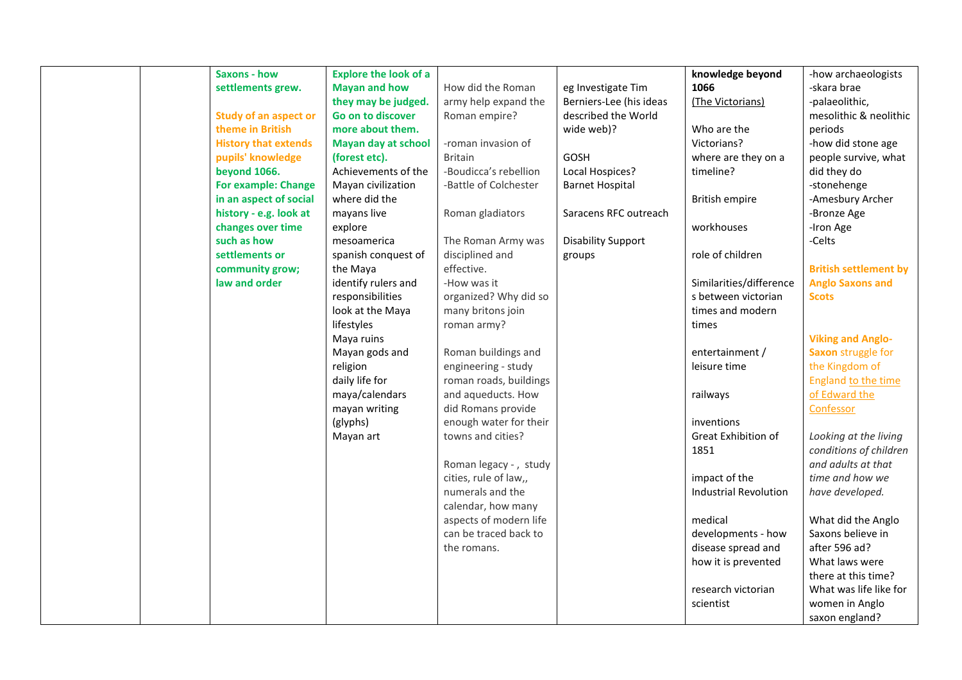|  | <b>Saxons - how</b>          | <b>Explore the look of a</b> |                        |                           | knowledge beyond             | -how archaeologists          |
|--|------------------------------|------------------------------|------------------------|---------------------------|------------------------------|------------------------------|
|  | settlements grew.            | <b>Mayan and how</b>         | How did the Roman      | eg Investigate Tim        | 1066                         | -skara brae                  |
|  |                              | they may be judged.          | army help expand the   | Berniers-Lee (his ideas   | (The Victorians)             | -palaeolithic,               |
|  | <b>Study of an aspect or</b> | Go on to discover            | Roman empire?          | described the World       |                              | mesolithic & neolithic       |
|  | theme in British             | more about them.             |                        | wide web)?                | Who are the                  | periods                      |
|  | <b>History that extends</b>  | <b>Mayan day at school</b>   | -roman invasion of     |                           | Victorians?                  | -how did stone age           |
|  | pupils' knowledge            | (forest etc).                | <b>Britain</b>         | GOSH                      | where are they on a          | people survive, what         |
|  | <b>beyond 1066.</b>          | Achievements of the          | -Boudicca's rebellion  | Local Hospices?           | timeline?                    | did they do                  |
|  | <b>For example: Change</b>   | Mayan civilization           | -Battle of Colchester  | <b>Barnet Hospital</b>    |                              | -stonehenge                  |
|  | in an aspect of social       | where did the                |                        |                           | <b>British empire</b>        | -Amesbury Archer             |
|  | history - e.g. look at       | mayans live                  | Roman gladiators       | Saracens RFC outreach     |                              | -Bronze Age                  |
|  | changes over time            | explore                      |                        |                           | workhouses                   | -Iron Age                    |
|  | such as how                  | mesoamerica                  | The Roman Army was     | <b>Disability Support</b> |                              | -Celts                       |
|  | settlements or               | spanish conquest of          | disciplined and        | groups                    | role of children             |                              |
|  | community grow;              | the Maya                     | effective.             |                           |                              | <b>British settlement by</b> |
|  | law and order                | identify rulers and          | -How was it            |                           | Similarities/difference      | <b>Anglo Saxons and</b>      |
|  |                              | responsibilities             | organized? Why did so  |                           | s between victorian          | <b>Scots</b>                 |
|  |                              | look at the Maya             | many britons join      |                           | times and modern             |                              |
|  |                              | lifestyles                   | roman army?            |                           | times                        |                              |
|  |                              | Maya ruins                   |                        |                           |                              | <b>Viking and Anglo-</b>     |
|  |                              | Mayan gods and               | Roman buildings and    |                           | entertainment /              | Saxon struggle for           |
|  |                              | religion                     | engineering - study    |                           | leisure time                 | the Kingdom of               |
|  |                              | daily life for               | roman roads, buildings |                           |                              | England to the time          |
|  |                              | maya/calendars               | and aqueducts. How     |                           | railways                     | of Edward the                |
|  |                              | mayan writing                | did Romans provide     |                           |                              | Confessor                    |
|  |                              | (glyphs)                     | enough water for their |                           | inventions                   |                              |
|  |                              | Mayan art                    | towns and cities?      |                           | Great Exhibition of          | Looking at the living        |
|  |                              |                              |                        |                           | 1851                         | conditions of children       |
|  |                              |                              | Roman legacy - , study |                           |                              | and adults at that           |
|  |                              |                              | cities, rule of law,,  |                           | impact of the                | time and how we              |
|  |                              |                              | numerals and the       |                           | <b>Industrial Revolution</b> | have developed.              |
|  |                              |                              | calendar, how many     |                           |                              |                              |
|  |                              |                              | aspects of modern life |                           | medical                      | What did the Anglo           |
|  |                              |                              | can be traced back to  |                           | developments - how           | Saxons believe in            |
|  |                              |                              | the romans.            |                           | disease spread and           | after 596 ad?                |
|  |                              |                              |                        |                           | how it is prevented          | What laws were               |
|  |                              |                              |                        |                           |                              | there at this time?          |
|  |                              |                              |                        |                           | research victorian           | What was life like for       |
|  |                              |                              |                        |                           | scientist                    | women in Anglo               |
|  |                              |                              |                        |                           |                              | saxon england?               |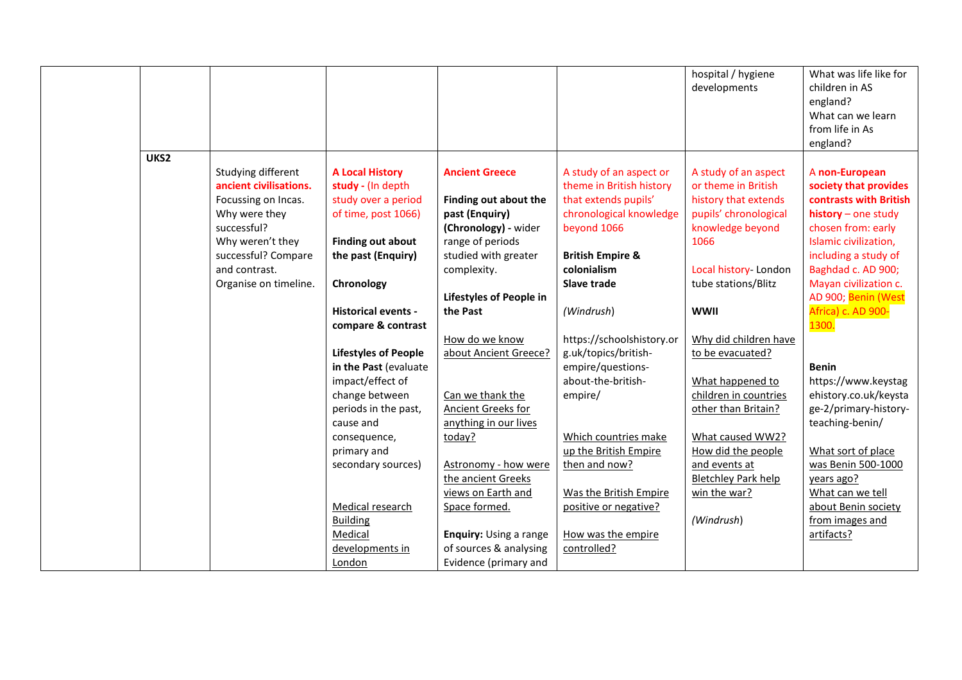|      |                        |                             |                         |                                               | hospital / hygiene<br>developments     | What was life like for<br>children in AS<br>england?<br>What can we learn<br>from life in As<br>england? |
|------|------------------------|-----------------------------|-------------------------|-----------------------------------------------|----------------------------------------|----------------------------------------------------------------------------------------------------------|
| UKS2 |                        |                             |                         |                                               |                                        |                                                                                                          |
|      | Studying different     | <b>A Local History</b>      | <b>Ancient Greece</b>   | A study of an aspect or                       | A study of an aspect                   | A non-European                                                                                           |
|      | ancient civilisations. | study - (In depth           |                         | theme in British history                      | or theme in British                    | society that provides                                                                                    |
|      | Focussing on Incas.    | study over a period         | Finding out about the   | that extends pupils'                          | history that extends                   | contrasts with British                                                                                   |
|      | Why were they          | of time, post 1066)         | past (Enquiry)          | chronological knowledge                       | pupils' chronological                  | $history - one study$                                                                                    |
|      | successful?            |                             | (Chronology) - wider    | beyond 1066                                   | knowledge beyond                       | chosen from: early                                                                                       |
|      | Why weren't they       | <b>Finding out about</b>    | range of periods        |                                               | 1066                                   | Islamic civilization,                                                                                    |
|      | successful? Compare    | the past (Enquiry)          | studied with greater    | <b>British Empire &amp;</b>                   |                                        | including a study of                                                                                     |
|      | and contrast.          |                             | complexity.             | colonialism                                   | Local history-London                   | Baghdad c. AD 900;                                                                                       |
|      | Organise on timeline.  | Chronology                  |                         | <b>Slave trade</b>                            | tube stations/Blitz                    | Mayan civilization c.                                                                                    |
|      |                        |                             | Lifestyles of People in |                                               |                                        | AD 900; Benin (West                                                                                      |
|      |                        | <b>Historical events -</b>  | the Past                | (Windrush)                                    | <b>WWII</b>                            | Africa) c. AD 900-                                                                                       |
|      |                        | compare & contrast          |                         |                                               |                                        | 1300.                                                                                                    |
|      |                        |                             | How do we know          | https://schoolshistory.or                     | Why did children have                  |                                                                                                          |
|      |                        | <b>Lifestyles of People</b> | about Ancient Greece?   | g.uk/topics/british-                          | to be evacuated?                       |                                                                                                          |
|      |                        | in the Past (evaluate       |                         | empire/questions-                             |                                        | <b>Benin</b>                                                                                             |
|      |                        | impact/effect of            |                         | about-the-british-                            | What happened to                       | https://www.keystag                                                                                      |
|      |                        | change between              | Can we thank the        | empire/                                       | children in countries                  | ehistory.co.uk/keysta                                                                                    |
|      |                        | periods in the past,        | Ancient Greeks for      |                                               | other than Britain?                    | ge-2/primary-history-                                                                                    |
|      |                        | cause and                   | anything in our lives   |                                               |                                        | teaching-benin/                                                                                          |
|      |                        | consequence,<br>primary and | today?                  | Which countries make<br>up the British Empire | What caused WW2?<br>How did the people | What sort of place                                                                                       |
|      |                        | secondary sources)          | Astronomy - how were    | then and now?                                 | and events at                          | was Benin 500-1000                                                                                       |
|      |                        |                             | the ancient Greeks      |                                               | <b>Bletchley Park help</b>             | years ago?                                                                                               |
|      |                        |                             | views on Earth and      | Was the British Empire                        | win the war?                           | What can we tell                                                                                         |
|      |                        | Medical research            | Space formed.           | positive or negative?                         |                                        | about Benin society                                                                                      |
|      |                        | <b>Building</b>             |                         |                                               | (Windrush)                             | from images and                                                                                          |
|      |                        | Medical                     | Enquiry: Using a range  | How was the empire                            |                                        | artifacts?                                                                                               |
|      |                        | developments in             | of sources & analysing  | controlled?                                   |                                        |                                                                                                          |
|      |                        | London                      | Evidence (primary and   |                                               |                                        |                                                                                                          |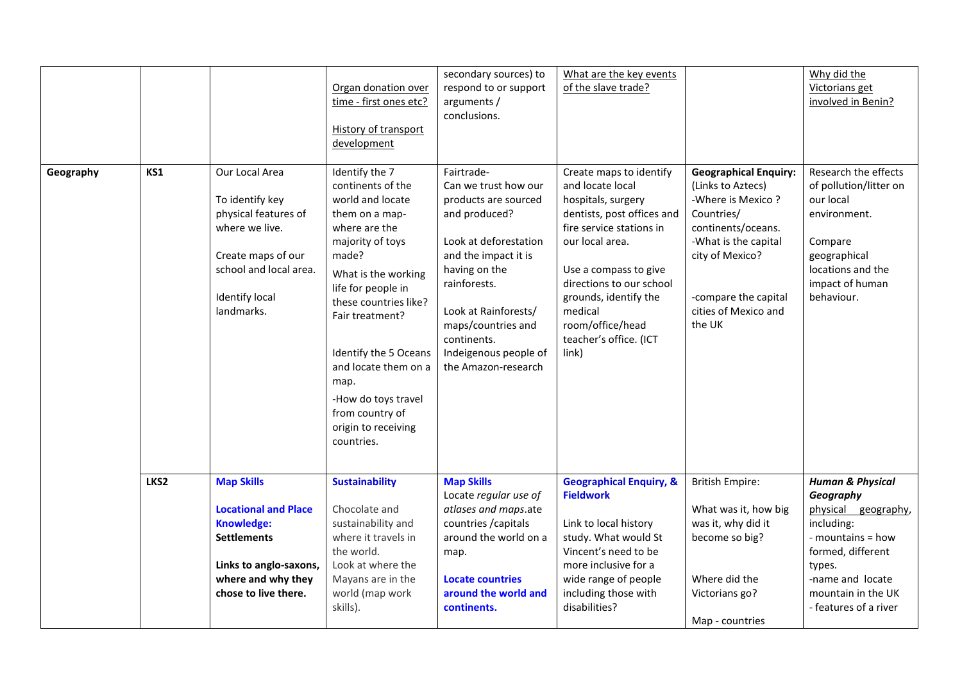|           |      |                                                                                                                                                                     | Organ donation over<br>time - first ones etc?<br>History of transport<br>development                                                                                                                                                                                                                                                                     | secondary sources) to<br>respond to or support<br>arguments /<br>conclusions.                                                                                                                                                                                              | What are the key events<br>of the slave trade?                                                                                                                                                                                                                                                 |                                                                                                                                                                                                                 | Why did the<br>Victorians get<br>involved in Benin?                                                                                                                                                  |
|-----------|------|---------------------------------------------------------------------------------------------------------------------------------------------------------------------|----------------------------------------------------------------------------------------------------------------------------------------------------------------------------------------------------------------------------------------------------------------------------------------------------------------------------------------------------------|----------------------------------------------------------------------------------------------------------------------------------------------------------------------------------------------------------------------------------------------------------------------------|------------------------------------------------------------------------------------------------------------------------------------------------------------------------------------------------------------------------------------------------------------------------------------------------|-----------------------------------------------------------------------------------------------------------------------------------------------------------------------------------------------------------------|------------------------------------------------------------------------------------------------------------------------------------------------------------------------------------------------------|
| Geography | KS1  | Our Local Area<br>To identify key<br>physical features of<br>where we live.<br>Create maps of our<br>school and local area.<br><b>Identify local</b><br>landmarks.  | Identify the 7<br>continents of the<br>world and locate<br>them on a map-<br>where are the<br>majority of toys<br>made?<br>What is the working<br>life for people in<br>these countries like?<br>Fair treatment?<br>Identify the 5 Oceans<br>and locate them on a<br>map.<br>-How do toys travel<br>from country of<br>origin to receiving<br>countries. | Fairtrade-<br>Can we trust how our<br>products are sourced<br>and produced?<br>Look at deforestation<br>and the impact it is<br>having on the<br>rainforests.<br>Look at Rainforests/<br>maps/countries and<br>continents.<br>Indeigenous people of<br>the Amazon-research | Create maps to identify<br>and locate local<br>hospitals, surgery<br>dentists, post offices and<br>fire service stations in<br>our local area.<br>Use a compass to give<br>directions to our school<br>grounds, identify the<br>medical<br>room/office/head<br>teacher's office. (ICT<br>link) | <b>Geographical Enquiry:</b><br>(Links to Aztecs)<br>-Where is Mexico?<br>Countries/<br>continents/oceans.<br>-What is the capital<br>city of Mexico?<br>-compare the capital<br>cities of Mexico and<br>the UK | Research the effects<br>of pollution/litter on<br>our local<br>environment.<br>Compare<br>geographical<br>locations and the<br>impact of human<br>behaviour.                                         |
|           | LKS2 | <b>Map Skills</b><br><b>Locational and Place</b><br><b>Knowledge:</b><br><b>Settlements</b><br>Links to anglo-saxons,<br>where and why they<br>chose to live there. | <b>Sustainability</b><br>Chocolate and<br>sustainability and<br>where it travels in<br>the world.<br>Look at where the<br>Mayans are in the<br>world (map work<br>skills).                                                                                                                                                                               | <b>Map Skills</b><br>Locate regular use of<br>atlases and maps.ate<br>countries / capitals<br>around the world on a<br>map.<br><b>Locate countries</b><br>around the world and<br>continents.                                                                              | <b>Geographical Enquiry, &amp;</b><br><b>Fieldwork</b><br>Link to local history<br>study. What would St<br>Vincent's need to be<br>more inclusive for a<br>wide range of people<br>including those with<br>disabilities?                                                                       | <b>British Empire:</b><br>What was it, how big<br>was it, why did it<br>become so big?<br>Where did the<br>Victorians go?                                                                                       | <b>Human &amp; Physical</b><br>Geography<br>physical geography,<br>including:<br>- mountains = how<br>formed, different<br>types.<br>-name and locate<br>mountain in the UK<br>- features of a river |
|           |      |                                                                                                                                                                     |                                                                                                                                                                                                                                                                                                                                                          |                                                                                                                                                                                                                                                                            |                                                                                                                                                                                                                                                                                                | Map - countries                                                                                                                                                                                                 |                                                                                                                                                                                                      |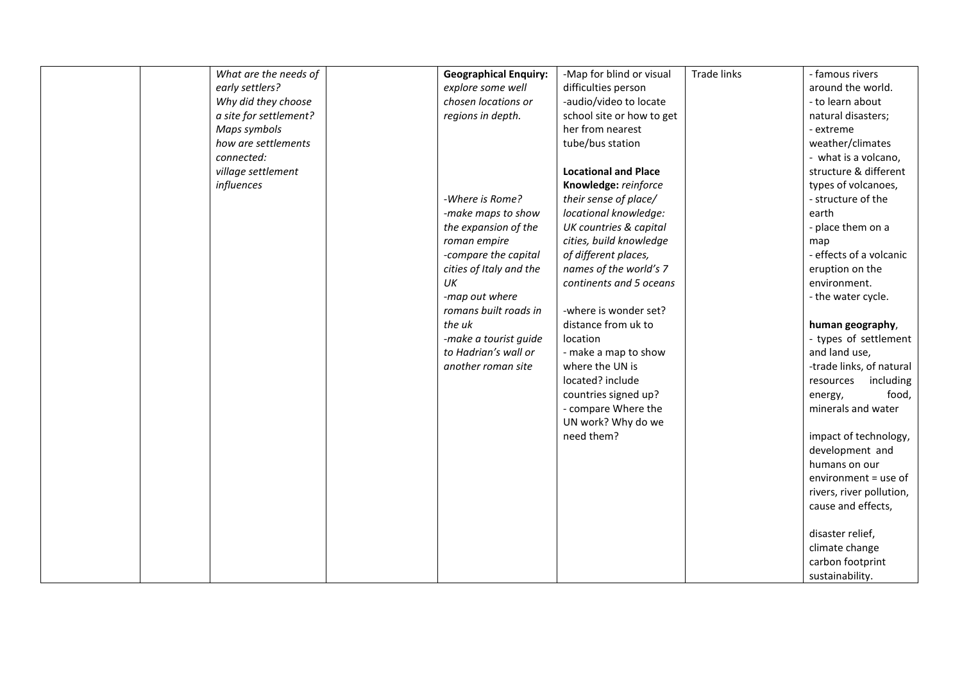| What are the needs of  | <b>Geographical Enquiry:</b> | -Map for blind or visual    | <b>Trade links</b> | - famous rivers          |
|------------------------|------------------------------|-----------------------------|--------------------|--------------------------|
| early settlers?        | explore some well            | difficulties person         |                    | around the world.        |
| Why did they choose    | chosen locations or          | -audio/video to locate      |                    | - to learn about         |
| a site for settlement? | regions in depth.            | school site or how to get   |                    | natural disasters;       |
| Maps symbols           |                              | her from nearest            |                    | - extreme                |
| how are settlements    |                              | tube/bus station            |                    | weather/climates         |
| connected:             |                              |                             |                    | - what is a volcano,     |
| village settlement     |                              | <b>Locational and Place</b> |                    | structure & different    |
| influences             |                              | Knowledge: reinforce        |                    | types of volcanoes,      |
|                        | -Where is Rome?              | their sense of place/       |                    | - structure of the       |
|                        | -make maps to show           | locational knowledge:       |                    | earth                    |
|                        | the expansion of the         | UK countries & capital      |                    | - place them on a        |
|                        | roman empire                 | cities, build knowledge     |                    | map                      |
|                        | -compare the capital         | of different places,        |                    | - effects of a volcanic  |
|                        | cities of Italy and the      | names of the world's 7      |                    | eruption on the          |
|                        | UK                           | continents and 5 oceans     |                    | environment.             |
|                        | -map out where               |                             |                    | - the water cycle.       |
|                        | romans built roads in        | -where is wonder set?       |                    |                          |
|                        | the uk                       | distance from uk to         |                    | human geography,         |
|                        | -make a tourist guide        | location                    |                    | - types of settlement    |
|                        | to Hadrian's wall or         | - make a map to show        |                    | and land use,            |
|                        | another roman site           | where the UN is             |                    | -trade links, of natural |
|                        |                              | located? include            |                    | including<br>resources   |
|                        |                              | countries signed up?        |                    | food,<br>energy,         |
|                        |                              | - compare Where the         |                    | minerals and water       |
|                        |                              | UN work? Why do we          |                    |                          |
|                        |                              | need them?                  |                    | impact of technology,    |
|                        |                              |                             |                    | development and          |
|                        |                              |                             |                    | humans on our            |
|                        |                              |                             |                    | environment = use of     |
|                        |                              |                             |                    | rivers, river pollution, |
|                        |                              |                             |                    | cause and effects,       |
|                        |                              |                             |                    |                          |
|                        |                              |                             |                    | disaster relief,         |
|                        |                              |                             |                    | climate change           |
|                        |                              |                             |                    | carbon footprint         |
|                        |                              |                             |                    | sustainability.          |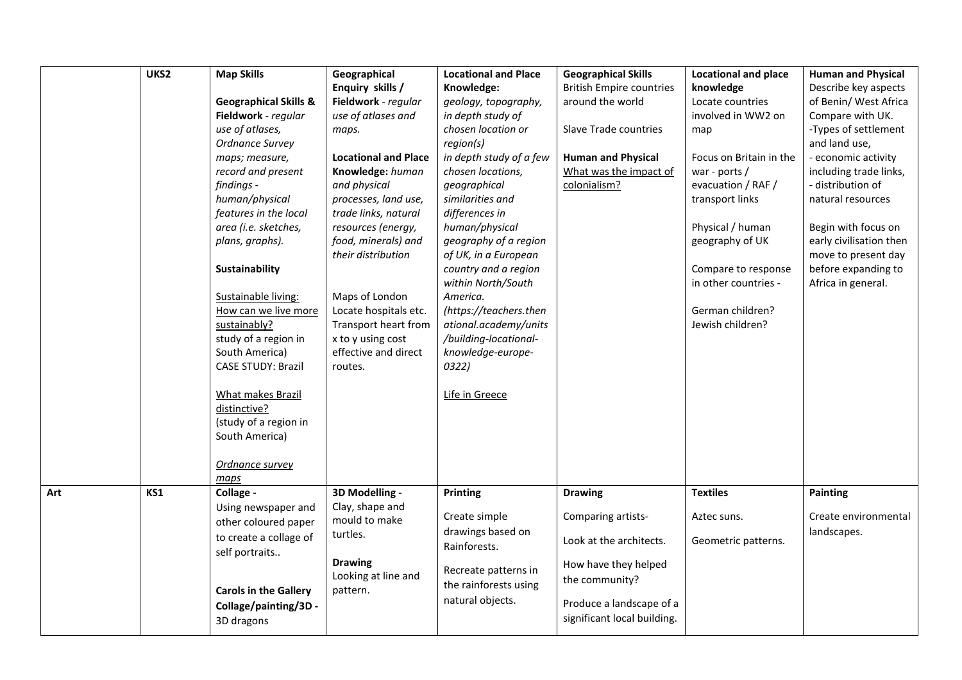|     | UKS2 | <b>Map Skills</b>                | Geographical                | <b>Locational and Place</b> | <b>Geographical Skills</b>      | <b>Locational and place</b> | <b>Human and Physical</b> |
|-----|------|----------------------------------|-----------------------------|-----------------------------|---------------------------------|-----------------------------|---------------------------|
|     |      |                                  | Enquiry skills /            | Knowledge:                  | <b>British Empire countries</b> | knowledge                   | Describe key aspects      |
|     |      | <b>Geographical Skills &amp;</b> | Fieldwork - regular         | geology, topography,        | around the world                | Locate countries            | of Benin/ West Africa     |
|     |      | Fieldwork - regular              | use of atlases and          | in depth study of           |                                 | involved in WW2 on          | Compare with UK.          |
|     |      | use of atlases,                  | maps.                       | chosen location or          | Slave Trade countries           | map                         | -Types of settlement      |
|     |      | Ordnance Survey                  |                             | region(s)                   |                                 |                             | and land use,             |
|     |      | maps; measure,                   | <b>Locational and Place</b> | in depth study of a few     | <b>Human and Physical</b>       | Focus on Britain in the     | - economic activity       |
|     |      | record and present               | Knowledge: human            | chosen locations,           | What was the impact of          | war - ports $/$             | including trade links,    |
|     |      | findings -                       | and physical                | geographical                | colonialism?                    | evacuation / RAF /          | - distribution of         |
|     |      | human/physical                   | processes, land use,        | similarities and            |                                 | transport links             | natural resources         |
|     |      | features in the local            | trade links, natural        | differences in              |                                 |                             |                           |
|     |      | area (i.e. sketches,             | resources (energy,          | human/physical              |                                 | Physical / human            | Begin with focus on       |
|     |      | plans, graphs).                  | food, minerals) and         | geography of a region       |                                 | geography of UK             | early civilisation then   |
|     |      |                                  | their distribution          | of UK, in a European        |                                 |                             | move to present day       |
|     |      | Sustainability                   |                             | country and a region        |                                 | Compare to response         | before expanding to       |
|     |      |                                  |                             | within North/South          |                                 | in other countries -        | Africa in general.        |
|     |      | Sustainable living:              | Maps of London              | America.                    |                                 |                             |                           |
|     |      | How can we live more             | Locate hospitals etc.       | (https://teachers.then      |                                 | German children?            |                           |
|     |      | sustainably?                     | Transport heart from        | ational.academy/units       |                                 | Jewish children?            |                           |
|     |      | study of a region in             | x to y using cost           | /building-locational-       |                                 |                             |                           |
|     |      | South America)                   | effective and direct        | knowledge-europe-           |                                 |                             |                           |
|     |      | <b>CASE STUDY: Brazil</b>        | routes.                     | 0322)                       |                                 |                             |                           |
|     |      |                                  |                             |                             |                                 |                             |                           |
|     |      | What makes Brazil                |                             | Life in Greece              |                                 |                             |                           |
|     |      | distinctive?                     |                             |                             |                                 |                             |                           |
|     |      | (study of a region in            |                             |                             |                                 |                             |                           |
|     |      | South America)                   |                             |                             |                                 |                             |                           |
|     |      |                                  |                             |                             |                                 |                             |                           |
|     |      | Ordnance survey                  |                             |                             |                                 |                             |                           |
|     |      | maps                             |                             |                             |                                 |                             |                           |
| Art | KS1  | Collage -                        | 3D Modelling -              | Printing                    | <b>Drawing</b>                  | <b>Textiles</b>             | <b>Painting</b>           |
|     |      | Using newspaper and              | Clay, shape and             |                             |                                 |                             |                           |
|     |      | other coloured paper             | mould to make               | Create simple               | Comparing artists-              | Aztec suns.                 | Create environmental      |
|     |      | to create a collage of           | turtles.                    | drawings based on           |                                 |                             | landscapes.               |
|     |      | self portraits                   |                             | Rainforests.                | Look at the architects.         | Geometric patterns.         |                           |
|     |      |                                  | <b>Drawing</b>              |                             | How have they helped            |                             |                           |
|     |      |                                  | Looking at line and         | Recreate patterns in        | the community?                  |                             |                           |
|     |      | <b>Carols in the Gallery</b>     | pattern.                    | the rainforests using       |                                 |                             |                           |
|     |      | Collage/painting/3D -            |                             | natural objects.            | Produce a landscape of a        |                             |                           |
|     |      | 3D dragons                       |                             |                             | significant local building.     |                             |                           |
|     |      |                                  |                             |                             |                                 |                             |                           |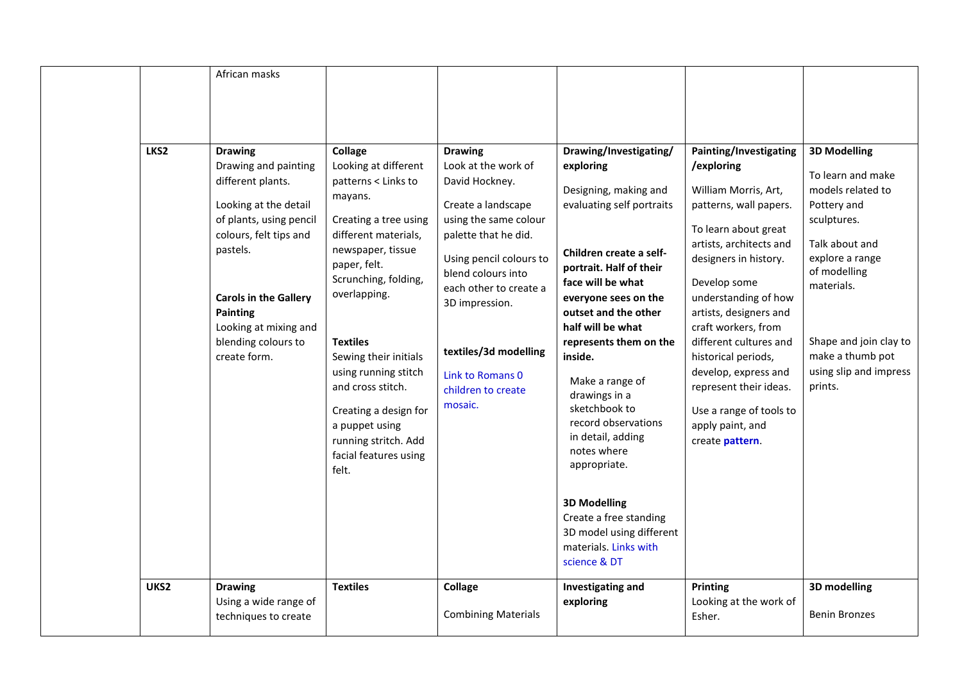| LKS2<br>UKS2 | African masks<br><b>Drawing</b><br>Drawing and painting<br>different plants.<br>Looking at the detail<br>of plants, using pencil<br>colours, felt tips and<br>pastels.<br><b>Carols in the Gallery</b><br><b>Painting</b><br>Looking at mixing and<br>blending colours to<br>create form.<br><b>Drawing</b> | <b>Collage</b><br>Looking at different<br>patterns < Links to<br>mayans.<br>Creating a tree using<br>different materials,<br>newspaper, tissue<br>paper, felt.<br>Scrunching, folding,<br>overlapping.<br><b>Textiles</b><br>Sewing their initials<br>using running stitch<br>and cross stitch.<br>Creating a design for<br>a puppet using<br>running stritch. Add<br>facial features using<br>felt.<br><b>Textiles</b> | <b>Drawing</b><br>Look at the work of<br>David Hockney.<br>Create a landscape<br>using the same colour<br>palette that he did.<br>Using pencil colours to<br>blend colours into<br>each other to create a<br>3D impression.<br>textiles/3d modelling<br>Link to Romans 0<br>children to create<br>mosaic.<br>Collage | Drawing/Investigating/<br>exploring<br>Designing, making and<br>evaluating self portraits<br>Children create a self-<br>portrait. Half of their<br>face will be what<br>everyone sees on the<br>outset and the other<br>half will be what<br>represents them on the<br>inside.<br>Make a range of<br>drawings in a<br>sketchbook to<br>record observations<br>in detail, adding<br>notes where<br>appropriate.<br><b>3D Modelling</b><br>Create a free standing<br>3D model using different<br>materials. Links with<br>science & DT<br>Investigating and | Painting/Investigating<br>/exploring<br>William Morris, Art,<br>patterns, wall papers.<br>To learn about great<br>artists, architects and<br>designers in history.<br>Develop some<br>understanding of how<br>artists, designers and<br>craft workers, from<br>different cultures and<br>historical periods,<br>develop, express and<br>represent their ideas.<br>Use a range of tools to<br>apply paint, and<br>create pattern.<br><b>Printing</b> | <b>3D Modelling</b><br>To learn and make<br>models related to<br>Pottery and<br>sculptures.<br>Talk about and<br>explore a range<br>of modelling<br>materials.<br>Shape and join clay to<br>make a thumb pot<br>using slip and impress<br>prints.<br>3D modelling |
|--------------|-------------------------------------------------------------------------------------------------------------------------------------------------------------------------------------------------------------------------------------------------------------------------------------------------------------|-------------------------------------------------------------------------------------------------------------------------------------------------------------------------------------------------------------------------------------------------------------------------------------------------------------------------------------------------------------------------------------------------------------------------|----------------------------------------------------------------------------------------------------------------------------------------------------------------------------------------------------------------------------------------------------------------------------------------------------------------------|-----------------------------------------------------------------------------------------------------------------------------------------------------------------------------------------------------------------------------------------------------------------------------------------------------------------------------------------------------------------------------------------------------------------------------------------------------------------------------------------------------------------------------------------------------------|-----------------------------------------------------------------------------------------------------------------------------------------------------------------------------------------------------------------------------------------------------------------------------------------------------------------------------------------------------------------------------------------------------------------------------------------------------|-------------------------------------------------------------------------------------------------------------------------------------------------------------------------------------------------------------------------------------------------------------------|
|              | Using a wide range of<br>techniques to create                                                                                                                                                                                                                                                               |                                                                                                                                                                                                                                                                                                                                                                                                                         | <b>Combining Materials</b>                                                                                                                                                                                                                                                                                           | exploring                                                                                                                                                                                                                                                                                                                                                                                                                                                                                                                                                 | Looking at the work of<br>Esher.                                                                                                                                                                                                                                                                                                                                                                                                                    | <b>Benin Bronzes</b>                                                                                                                                                                                                                                              |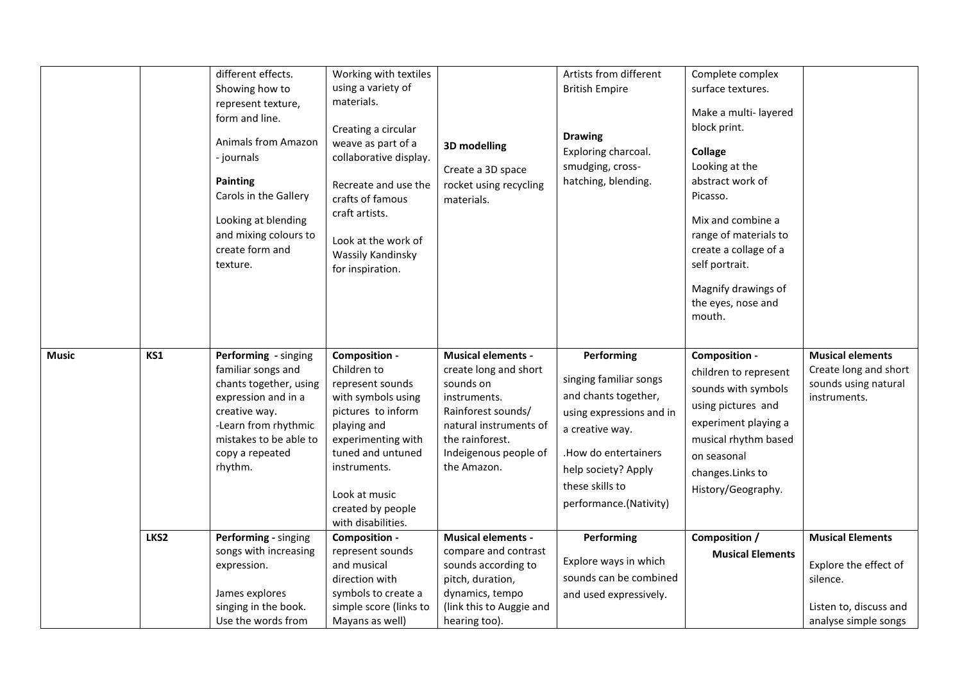|              |      | different effects.<br>Showing how to<br>represent texture,<br>form and line.<br><b>Animals from Amazon</b><br>- journals<br><b>Painting</b><br>Carols in the Gallery<br>Looking at blending<br>and mixing colours to<br>create form and<br>texture. | Working with textiles<br>using a variety of<br>materials.<br>Creating a circular<br>weave as part of a<br>collaborative display.<br>Recreate and use the<br>crafts of famous<br>craft artists.<br>Look at the work of<br><b>Wassily Kandinsky</b><br>for inspiration. | 3D modelling<br>Create a 3D space<br>rocket using recycling<br>materials.                                                                                                                  | Artists from different<br><b>British Empire</b><br><b>Drawing</b><br>Exploring charcoal.<br>smudging, cross-<br>hatching, blending.                                                                     | Complete complex<br>surface textures.<br>Make a multi-layered<br>block print.<br><b>Collage</b><br>Looking at the<br>abstract work of<br>Picasso.<br>Mix and combine a<br>range of materials to<br>create a collage of a<br>self portrait.<br>Magnify drawings of<br>the eyes, nose and<br>mouth. |                                                                                                                |
|--------------|------|-----------------------------------------------------------------------------------------------------------------------------------------------------------------------------------------------------------------------------------------------------|-----------------------------------------------------------------------------------------------------------------------------------------------------------------------------------------------------------------------------------------------------------------------|--------------------------------------------------------------------------------------------------------------------------------------------------------------------------------------------|---------------------------------------------------------------------------------------------------------------------------------------------------------------------------------------------------------|---------------------------------------------------------------------------------------------------------------------------------------------------------------------------------------------------------------------------------------------------------------------------------------------------|----------------------------------------------------------------------------------------------------------------|
| <b>Music</b> | KS1  | Performing - singing<br>familiar songs and<br>chants together, using<br>expression and in a<br>creative way.<br>-Learn from rhythmic<br>mistakes to be able to<br>copy a repeated<br>rhythm.                                                        | Composition -<br>Children to<br>represent sounds<br>with symbols using<br>pictures to inform<br>playing and<br>experimenting with<br>tuned and untuned<br>instruments.<br>Look at music<br>created by people<br>with disabilities.                                    | <b>Musical elements -</b><br>create long and short<br>sounds on<br>instruments.<br>Rainforest sounds/<br>natural instruments of<br>the rainforest.<br>Indeigenous people of<br>the Amazon. | Performing<br>singing familiar songs<br>and chants together,<br>using expressions and in<br>a creative way.<br>How do entertainers.<br>help society? Apply<br>these skills to<br>performance.(Nativity) | Composition -<br>children to represent<br>sounds with symbols<br>using pictures and<br>experiment playing a<br>musical rhythm based<br>on seasonal<br>changes.Links to<br>History/Geography.                                                                                                      | <b>Musical elements</b><br>Create long and short<br>sounds using natural<br>instruments.                       |
|              | LKS2 | Performing - singing<br>songs with increasing<br>expression.<br>James explores<br>singing in the book.<br>Use the words from                                                                                                                        | Composition -<br>represent sounds<br>and musical<br>direction with<br>symbols to create a<br>simple score (links to<br>Mayans as well)                                                                                                                                | <b>Musical elements -</b><br>compare and contrast<br>sounds according to<br>pitch, duration,<br>dynamics, tempo<br>(link this to Auggie and<br>hearing too).                               | Performing<br>Explore ways in which<br>sounds can be combined<br>and used expressively.                                                                                                                 | Composition /<br><b>Musical Elements</b>                                                                                                                                                                                                                                                          | <b>Musical Elements</b><br>Explore the effect of<br>silence.<br>Listen to, discuss and<br>analyse simple songs |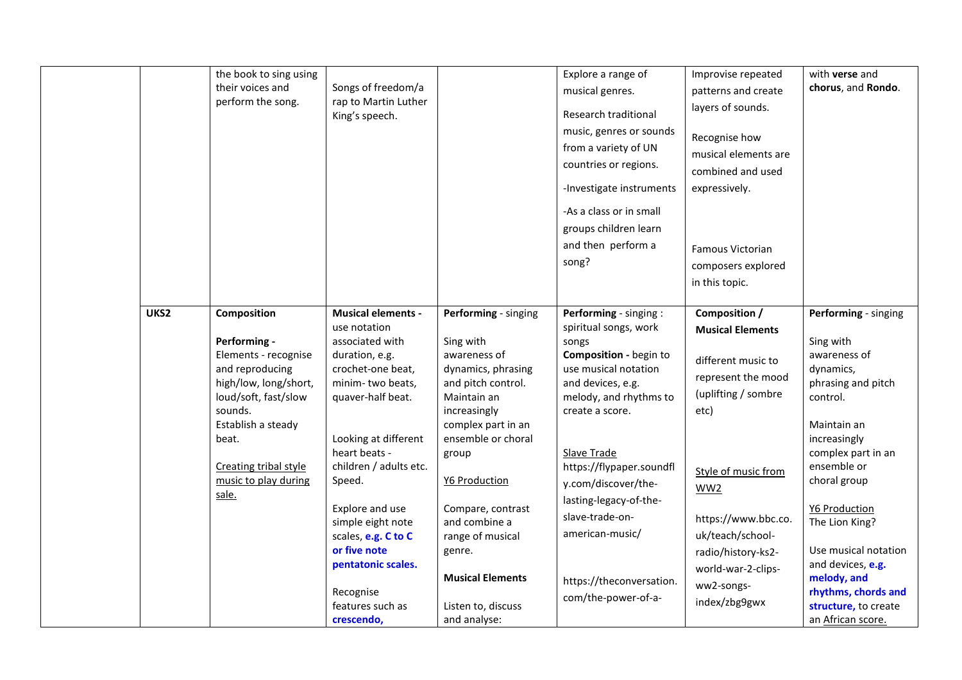|      | the book to sing using<br>their voices and<br>perform the song.                                                                                                                                                             | Songs of freedom/a<br>rap to Martin Luther<br>King's speech.                                                                                                                                                                                                                                                                                                                  |                                                                                                                                                                                                                                                                                                                                         | Explore a range of<br>musical genres.<br>Research traditional<br>music, genres or sounds<br>from a variety of UN<br>countries or regions.<br>-Investigate instruments<br>-As a class or in small<br>groups children learn<br>and then perform a<br>song?                                                                                                          | Improvise repeated<br>patterns and create<br>layers of sounds.<br>Recognise how<br>musical elements are<br>combined and used<br>expressively.<br><b>Famous Victorian</b><br>composers explored<br>in this topic.                                                        | with <b>verse</b> and<br>chorus, and Rondo.                                                                                                                                                                                                                                                                                                                    |
|------|-----------------------------------------------------------------------------------------------------------------------------------------------------------------------------------------------------------------------------|-------------------------------------------------------------------------------------------------------------------------------------------------------------------------------------------------------------------------------------------------------------------------------------------------------------------------------------------------------------------------------|-----------------------------------------------------------------------------------------------------------------------------------------------------------------------------------------------------------------------------------------------------------------------------------------------------------------------------------------|-------------------------------------------------------------------------------------------------------------------------------------------------------------------------------------------------------------------------------------------------------------------------------------------------------------------------------------------------------------------|-------------------------------------------------------------------------------------------------------------------------------------------------------------------------------------------------------------------------------------------------------------------------|----------------------------------------------------------------------------------------------------------------------------------------------------------------------------------------------------------------------------------------------------------------------------------------------------------------------------------------------------------------|
| UKS2 | Composition<br>Performing -<br>Elements - recognise<br>and reproducing<br>high/low, long/short,<br>loud/soft, fast/slow<br>sounds.<br>Establish a steady<br>beat.<br>Creating tribal style<br>music to play during<br>sale. | <b>Musical elements -</b><br>use notation<br>associated with<br>duration, e.g.<br>crochet-one beat,<br>minim-two beats,<br>quaver-half beat.<br>Looking at different<br>heart beats -<br>children / adults etc.<br>Speed.<br>Explore and use<br>simple eight note<br>scales, e.g. C to C<br>or five note<br>pentatonic scales.<br>Recognise<br>features such as<br>crescendo, | Performing - singing<br>Sing with<br>awareness of<br>dynamics, phrasing<br>and pitch control.<br>Maintain an<br>increasingly<br>complex part in an<br>ensemble or choral<br>group<br>Y6 Production<br>Compare, contrast<br>and combine a<br>range of musical<br>genre.<br><b>Musical Elements</b><br>Listen to, discuss<br>and analyse: | Performing - singing :<br>spiritual songs, work<br>songs<br>Composition - begin to<br>use musical notation<br>and devices, e.g.<br>melody, and rhythms to<br>create a score.<br>Slave Trade<br>https://flypaper.soundfl<br>y.com/discover/the-<br>lasting-legacy-of-the-<br>slave-trade-on-<br>american-music/<br>https://theconversation.<br>com/the-power-of-a- | Composition /<br><b>Musical Elements</b><br>different music to<br>represent the mood<br>(uplifting / sombre<br>etc)<br>Style of music from<br>WW2<br>https://www.bbc.co.<br>uk/teach/school-<br>radio/history-ks2-<br>world-war-2-clips-<br>ww2-songs-<br>index/zbg9gwx | Performing - singing<br>Sing with<br>awareness of<br>dynamics,<br>phrasing and pitch<br>control.<br>Maintain an<br>increasingly<br>complex part in an<br>ensemble or<br>choral group<br><b>Y6 Production</b><br>The Lion King?<br>Use musical notation<br>and devices, e.g.<br>melody, and<br>rhythms, chords and<br>structure, to create<br>an African score. |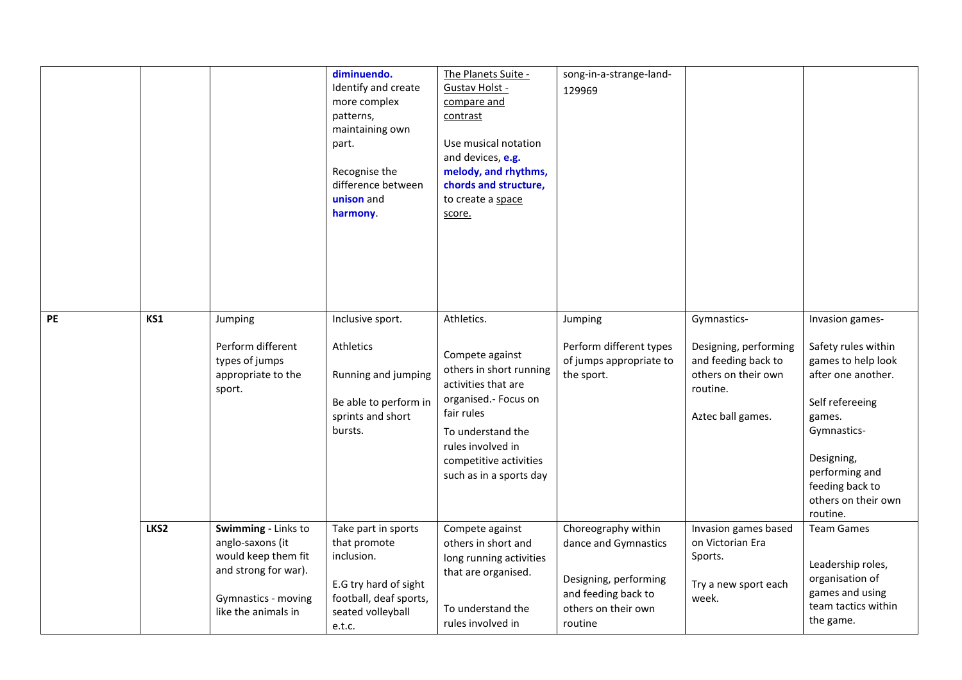|           |                  |                                                                                                                                      | diminuendo.<br>Identify and create<br>more complex<br>patterns,<br>maintaining own<br>part.<br>Recognise the<br>difference between<br>unison and<br>harmony. | The Planets Suite -<br>Gustav Holst -<br>compare and<br>contrast<br>Use musical notation<br>and devices, e.g.<br>melody, and rhythms,<br>chords and structure,<br>to create a space<br>score.                        | song-in-a-strange-land-<br>129969                                                                                             |                                                                                                                     |                                                                                                                                                                                                                      |
|-----------|------------------|--------------------------------------------------------------------------------------------------------------------------------------|--------------------------------------------------------------------------------------------------------------------------------------------------------------|----------------------------------------------------------------------------------------------------------------------------------------------------------------------------------------------------------------------|-------------------------------------------------------------------------------------------------------------------------------|---------------------------------------------------------------------------------------------------------------------|----------------------------------------------------------------------------------------------------------------------------------------------------------------------------------------------------------------------|
| <b>PE</b> | KS1              | Jumping<br>Perform different<br>types of jumps<br>appropriate to the<br>sport.                                                       | Inclusive sport.<br>Athletics<br>Running and jumping<br>Be able to perform in<br>sprints and short<br>bursts.                                                | Athletics.<br>Compete against<br>others in short running<br>activities that are<br>organised.- Focus on<br>fair rules<br>To understand the<br>rules involved in<br>competitive activities<br>such as in a sports day | Jumping<br>Perform different types<br>of jumps appropriate to<br>the sport.                                                   | Gymnastics-<br>Designing, performing<br>and feeding back to<br>others on their own<br>routine.<br>Aztec ball games. | Invasion games-<br>Safety rules within<br>games to help look<br>after one another.<br>Self refereeing<br>games.<br>Gymnastics-<br>Designing,<br>performing and<br>feeding back to<br>others on their own<br>routine. |
|           | LKS <sub>2</sub> | Swimming - Links to<br>anglo-saxons (it<br>would keep them fit<br>and strong for war).<br>Gymnastics - moving<br>like the animals in | Take part in sports<br>that promote<br>inclusion.<br>E.G try hard of sight<br>football, deaf sports,<br>seated volleyball<br>e.t.c.                          | Compete against<br>others in short and<br>long running activities<br>that are organised.<br>To understand the<br>rules involved in                                                                                   | Choreography within<br>dance and Gymnastics<br>Designing, performing<br>and feeding back to<br>others on their own<br>routine | Invasion games based<br>on Victorian Era<br>Sports.<br>Try a new sport each<br>week.                                | <b>Team Games</b><br>Leadership roles,<br>organisation of<br>games and using<br>team tactics within<br>the game.                                                                                                     |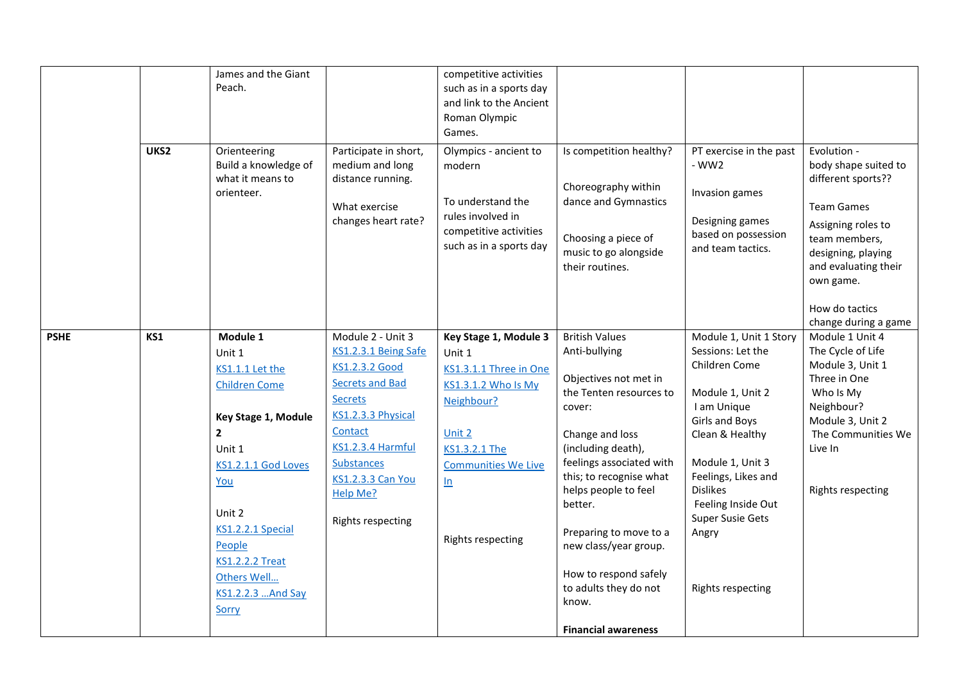|             |      | James and the Giant    |                          | competitive activities     |                                                |                                          |                                        |
|-------------|------|------------------------|--------------------------|----------------------------|------------------------------------------------|------------------------------------------|----------------------------------------|
|             |      | Peach.                 |                          | such as in a sports day    |                                                |                                          |                                        |
|             |      |                        |                          | and link to the Ancient    |                                                |                                          |                                        |
|             |      |                        |                          | Roman Olympic              |                                                |                                          |                                        |
|             |      |                        |                          | Games.                     |                                                |                                          |                                        |
|             | UKS2 | Orienteering           | Participate in short,    | Olympics - ancient to      | Is competition healthy?                        | PT exercise in the past                  | Evolution -                            |
|             |      | Build a knowledge of   | medium and long          | modern                     |                                                | $-WW2$                                   | body shape suited to                   |
|             |      | what it means to       | distance running.        |                            | Choreography within                            |                                          | different sports??                     |
|             |      | orienteer.             |                          | To understand the          | dance and Gymnastics                           | Invasion games                           |                                        |
|             |      |                        | What exercise            | rules involved in          |                                                |                                          | <b>Team Games</b>                      |
|             |      |                        | changes heart rate?      | competitive activities     |                                                | Designing games                          | Assigning roles to                     |
|             |      |                        |                          | such as in a sports day    | Choosing a piece of                            | based on possession<br>and team tactics. | team members,                          |
|             |      |                        |                          |                            | music to go alongside                          |                                          | designing, playing                     |
|             |      |                        |                          |                            | their routines.                                |                                          | and evaluating their                   |
|             |      |                        |                          |                            |                                                |                                          | own game.                              |
|             |      |                        |                          |                            |                                                |                                          | How do tactics                         |
|             |      |                        |                          |                            |                                                |                                          | change during a game                   |
| <b>PSHE</b> | KS1  | Module 1               | Module 2 - Unit 3        | Key Stage 1, Module 3      | <b>British Values</b>                          | Module 1, Unit 1 Story                   | Module 1 Unit 4                        |
|             |      | Unit 1                 | KS1.2.3.1 Being Safe     | Unit 1                     | Anti-bullying                                  | Sessions: Let the                        | The Cycle of Life                      |
|             |      | KS1.1.1 Let the        | KS1.2.3.2 Good           | KS1.3.1.1 Three in One     |                                                | Children Come                            | Module 3, Unit 1                       |
|             |      | <b>Children Come</b>   | <b>Secrets and Bad</b>   | KS1.3.1.2 Who Is My        | Objectives not met in                          |                                          | Three in One                           |
|             |      |                        | Secrets                  | Neighbour?                 | the Tenten resources to                        | Module 1, Unit 2                         | Who Is My                              |
|             |      | Key Stage 1, Module    | KS1.2.3.3 Physical       |                            | cover:                                         | I am Unique                              | Neighbour?                             |
|             |      | $\mathbf{2}$           | Contact                  | Unit 2                     | Change and loss                                | Girls and Boys<br>Clean & Healthy        | Module 3, Unit 2<br>The Communities We |
|             |      | Unit 1                 | KS1.2.3.4 Harmful        | KS1.3.2.1 The              | (including death),                             |                                          | Live In                                |
|             |      | KS1.2.1.1 God Loves    | <b>Substances</b>        | <b>Communities We Live</b> | feelings associated with                       | Module 1, Unit 3                         |                                        |
|             |      | <u>You</u>             | <b>KS1.2.3.3 Can You</b> | ln                         | this; to recognise what                        | Feelings, Likes and                      |                                        |
|             |      |                        | Help Me?                 |                            | helps people to feel                           | <b>Dislikes</b>                          | Rights respecting                      |
|             |      |                        |                          |                            | better.                                        | Feeling Inside Out                       |                                        |
|             |      | Unit 2                 | Rights respecting        |                            |                                                | Super Susie Gets                         |                                        |
|             |      | KS1.2.2.1 Special      |                          | Rights respecting          | Preparing to move to a                         | Angry                                    |                                        |
|             |      | People                 |                          |                            | new class/year group.                          |                                          |                                        |
|             |      | <b>KS1.2.2.2 Treat</b> |                          |                            |                                                |                                          |                                        |
|             |      | Others Well            |                          |                            | How to respond safely<br>to adults they do not | <b>Rights respecting</b>                 |                                        |
|             |      | KS1.2.2.3  And Say     |                          |                            | know.                                          |                                          |                                        |
|             |      | Sorry                  |                          |                            |                                                |                                          |                                        |
|             |      |                        |                          |                            | <b>Financial awareness</b>                     |                                          |                                        |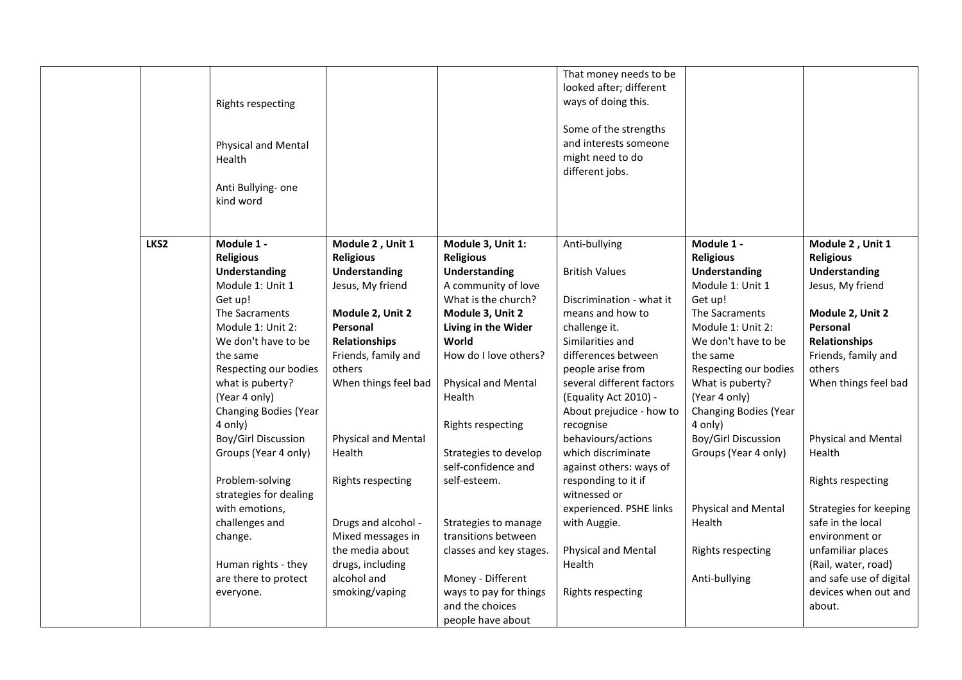|                  | <b>Rights respecting</b>                                          |                                          |                                                                | That money needs to be<br>looked after; different<br>ways of doing this.       |                                                                   |                                                |
|------------------|-------------------------------------------------------------------|------------------------------------------|----------------------------------------------------------------|--------------------------------------------------------------------------------|-------------------------------------------------------------------|------------------------------------------------|
|                  | Physical and Mental<br>Health                                     |                                          |                                                                | Some of the strengths<br>and interests someone<br>might need to do             |                                                                   |                                                |
|                  | Anti Bullying- one<br>kind word                                   |                                          |                                                                | different jobs.                                                                |                                                                   |                                                |
| LKS <sub>2</sub> | Module 1 -<br><b>Religious</b>                                    | Module 2, Unit 1<br><b>Religious</b>     | Module 3, Unit 1:<br><b>Religious</b>                          | Anti-bullying                                                                  | Module 1 -<br><b>Religious</b>                                    | Module 2, Unit 1<br><b>Religious</b>           |
|                  | <b>Understanding</b><br>Module 1: Unit 1                          | <b>Understanding</b><br>Jesus, My friend | Understanding<br>A community of love                           | <b>British Values</b>                                                          | <b>Understanding</b><br>Module 1: Unit 1                          | Understanding<br>Jesus, My friend              |
|                  | Get up!<br>The Sacraments                                         | Module 2, Unit 2                         | What is the church?<br>Module 3, Unit 2                        | Discrimination - what it<br>means and how to                                   | Get up!<br>The Sacraments                                         | Module 2, Unit 2                               |
|                  | Module 1: Unit 2:<br>We don't have to be                          | Personal<br><b>Relationships</b>         | Living in the Wider<br>World                                   | challenge it.<br>Similarities and                                              | Module 1: Unit 2:<br>We don't have to be                          | Personal<br><b>Relationships</b>               |
|                  | the same<br>Respecting our bodies                                 | Friends, family and<br>others            | How do I love others?                                          | differences between<br>people arise from                                       | the same<br>Respecting our bodies                                 | Friends, family and<br>others                  |
|                  | what is puberty?<br>(Year 4 only)<br><b>Changing Bodies (Year</b> | When things feel bad                     | <b>Physical and Mental</b><br>Health                           | several different factors<br>(Equality Act 2010) -<br>About prejudice - how to | What is puberty?<br>(Year 4 only)<br><b>Changing Bodies (Year</b> | When things feel bad                           |
|                  | 4 only)<br>Boy/Girl Discussion                                    | <b>Physical and Mental</b>               | <b>Rights respecting</b>                                       | recognise<br>behaviours/actions                                                | 4 only)<br>Boy/Girl Discussion                                    | <b>Physical and Mental</b>                     |
|                  | Groups (Year 4 only)                                              | Health                                   | Strategies to develop<br>self-confidence and                   | which discriminate<br>against others: ways of                                  | Groups (Year 4 only)                                              | Health                                         |
|                  | Problem-solving<br>strategies for dealing                         | <b>Rights respecting</b>                 | self-esteem.                                                   | responding to it if<br>witnessed or                                            |                                                                   | Rights respecting                              |
|                  | with emotions,<br>challenges and                                  | Drugs and alcohol -                      | Strategies to manage                                           | experienced. PSHE links<br>with Auggie.                                        | <b>Physical and Mental</b><br>Health                              | Strategies for keeping<br>safe in the local    |
|                  | change.                                                           | Mixed messages in<br>the media about     | transitions between<br>classes and key stages.                 | Physical and Mental                                                            | <b>Rights respecting</b>                                          | environment or<br>unfamiliar places            |
|                  | Human rights - they<br>are there to protect                       | drugs, including<br>alcohol and          | Money - Different                                              | Health                                                                         | Anti-bullying                                                     | (Rail, water, road)<br>and safe use of digital |
|                  | everyone.                                                         | smoking/vaping                           | ways to pay for things<br>and the choices<br>people have about | Rights respecting                                                              |                                                                   | devices when out and<br>about.                 |
|                  |                                                                   |                                          |                                                                |                                                                                |                                                                   |                                                |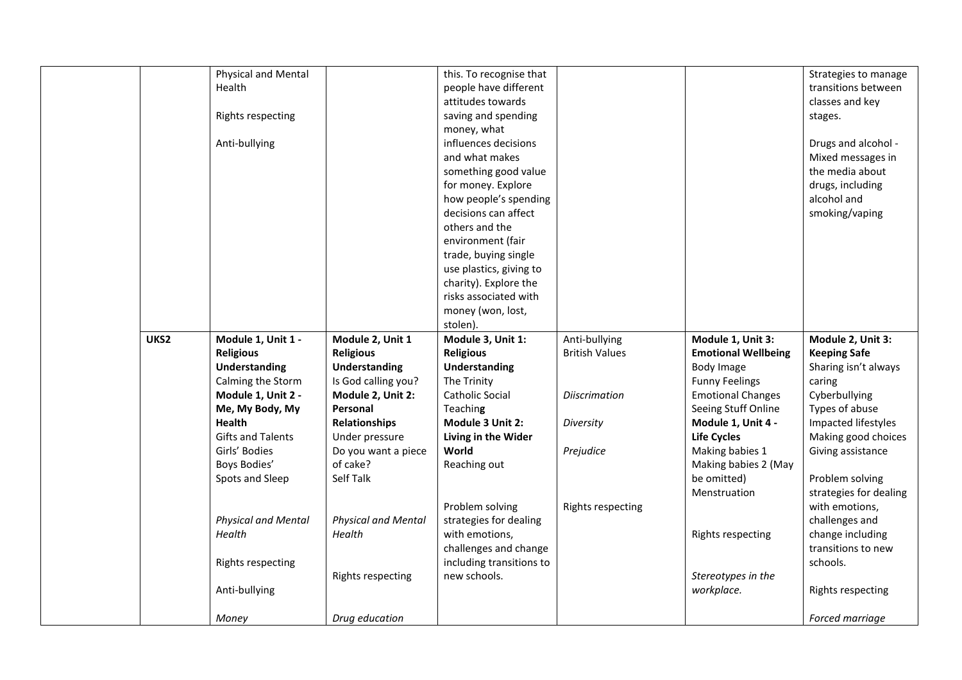|      | Physical and Mental        |                            | this. To recognise that  |                          |                            | Strategies to manage   |
|------|----------------------------|----------------------------|--------------------------|--------------------------|----------------------------|------------------------|
|      | Health                     |                            | people have different    |                          |                            | transitions between    |
|      |                            |                            | attitudes towards        |                          |                            | classes and key        |
|      | <b>Rights respecting</b>   |                            | saving and spending      |                          |                            | stages.                |
|      |                            |                            | money, what              |                          |                            |                        |
|      | Anti-bullying              |                            | influences decisions     |                          |                            | Drugs and alcohol -    |
|      |                            |                            | and what makes           |                          |                            | Mixed messages in      |
|      |                            |                            | something good value     |                          |                            | the media about        |
|      |                            |                            | for money. Explore       |                          |                            | drugs, including       |
|      |                            |                            | how people's spending    |                          |                            | alcohol and            |
|      |                            |                            | decisions can affect     |                          |                            | smoking/vaping         |
|      |                            |                            | others and the           |                          |                            |                        |
|      |                            |                            | environment (fair        |                          |                            |                        |
|      |                            |                            | trade, buying single     |                          |                            |                        |
|      |                            |                            | use plastics, giving to  |                          |                            |                        |
|      |                            |                            | charity). Explore the    |                          |                            |                        |
|      |                            |                            | risks associated with    |                          |                            |                        |
|      |                            |                            | money (won, lost,        |                          |                            |                        |
|      |                            |                            | stolen).                 |                          |                            |                        |
| UKS2 | Module 1, Unit 1 -         | Module 2, Unit 1           | Module 3, Unit 1:        | Anti-bullying            | Module 1, Unit 3:          | Module 2, Unit 3:      |
|      | <b>Religious</b>           | <b>Religious</b>           | <b>Religious</b>         | <b>British Values</b>    | <b>Emotional Wellbeing</b> | <b>Keeping Safe</b>    |
|      | <b>Understanding</b>       | <b>Understanding</b>       | <b>Understanding</b>     |                          | Body Image                 | Sharing isn't always   |
|      | Calming the Storm          | Is God calling you?        | The Trinity              |                          | <b>Funny Feelings</b>      | caring                 |
|      | Module 1, Unit 2 -         | Module 2, Unit 2:          | Catholic Social          | <b>Diiscrimation</b>     | <b>Emotional Changes</b>   | Cyberbullying          |
|      | Me, My Body, My            | Personal                   | Teaching                 |                          | Seeing Stuff Online        | Types of abuse         |
|      | <b>Health</b>              | <b>Relationships</b>       | Module 3 Unit 2:         | Diversity                | Module 1, Unit 4 -         | Impacted lifestyles    |
|      | <b>Gifts and Talents</b>   | Under pressure             | Living in the Wider      |                          | <b>Life Cycles</b>         | Making good choices    |
|      | Girls' Bodies              | Do you want a piece        | World                    | Prejudice                | Making babies 1            | Giving assistance      |
|      | Boys Bodies'               | of cake?                   | Reaching out             |                          | Making babies 2 (May       |                        |
|      | Spots and Sleep            | Self Talk                  |                          |                          | be omitted)                | Problem solving        |
|      |                            |                            |                          |                          | Menstruation               | strategies for dealing |
|      |                            |                            | Problem solving          | <b>Rights respecting</b> |                            | with emotions,         |
|      | <b>Physical and Mental</b> | <b>Physical and Mental</b> | strategies for dealing   |                          |                            | challenges and         |
|      | Health                     | Health                     | with emotions,           |                          | <b>Rights respecting</b>   | change including       |
|      |                            |                            | challenges and change    |                          |                            | transitions to new     |
|      | <b>Rights respecting</b>   |                            | including transitions to |                          |                            | schools.               |
|      |                            | Rights respecting          | new schools.             |                          | Stereotypes in the         |                        |
|      | Anti-bullying              |                            |                          |                          | workplace.                 | Rights respecting      |
|      | Money                      | Drug education             |                          |                          |                            | Forced marriage        |